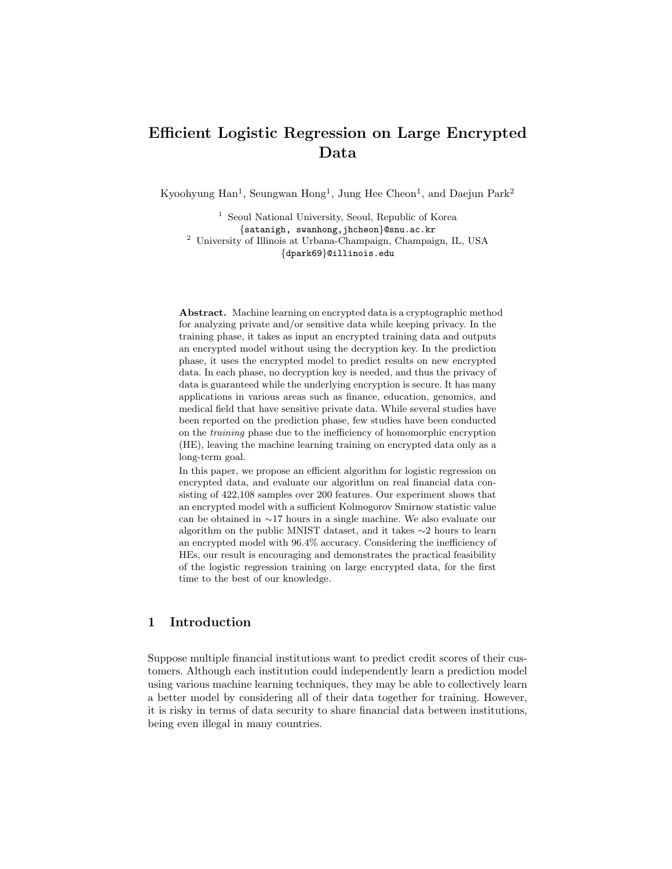# Efficient Logistic Regression on Large Encrypted Data

Kyoohyung Han<sup>1</sup>, Seungwan Hong<sup>1</sup>, Jung Hee Cheon<sup>1</sup>, and Daejun Park<sup>2</sup>

<sup>1</sup> Seoul National University, Seoul, Republic of Korea {satanigh, swanhong,jhcheon}@snu.ac.kr <sup>2</sup> University of Illinois at Urbana-Champaign, Champaign, IL, USA {dpark69}@illinois.edu

Abstract. Machine learning on encrypted data is a cryptographic method for analyzing private and/or sensitive data while keeping privacy. In the training phase, it takes as input an encrypted training data and outputs an encrypted model without using the decryption key. In the prediction phase, it uses the encrypted model to predict results on new encrypted data. In each phase, no decryption key is needed, and thus the privacy of data is guaranteed while the underlying encryption is secure. It has many applications in various areas such as finance, education, genomics, and medical field that have sensitive private data. While several studies have been reported on the prediction phase, few studies have been conducted on the training phase due to the inefficiency of homomorphic encryption (HE), leaving the machine learning training on encrypted data only as a long-term goal.

In this paper, we propose an efficient algorithm for logistic regression on encrypted data, and evaluate our algorithm on real financial data consisting of 422,108 samples over 200 features. Our experiment shows that an encrypted model with a sufficient Kolmogorov Smirnow statistic value can be obtained in ∼17 hours in a single machine. We also evaluate our algorithm on the public MNIST dataset, and it takes ∼2 hours to learn an encrypted model with 96.4% accuracy. Considering the inefficiency of HEs, our result is encouraging and demonstrates the practical feasibility of the logistic regression training on large encrypted data, for the first time to the best of our knowledge.

# 1 Introduction

Suppose multiple financial institutions want to predict credit scores of their customers. Although each institution could independently learn a prediction model using various machine learning techniques, they may be able to collectively learn a better model by considering all of their data together for training. However, it is risky in terms of data security to share financial data between institutions, being even illegal in many countries.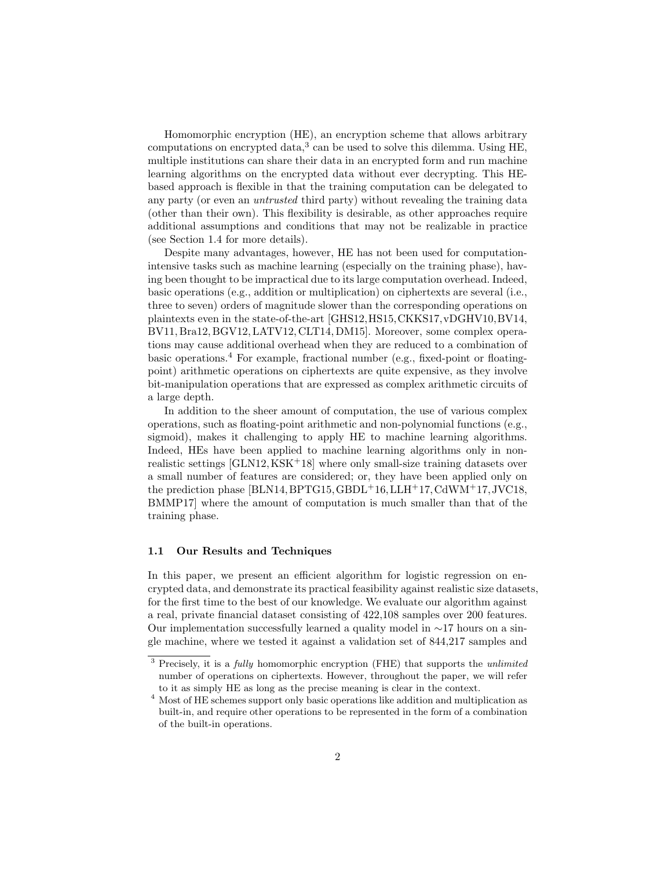Homomorphic encryption (HE), an encryption scheme that allows arbitrary computations on encrypted data,<sup>3</sup> can be used to solve this dilemma. Using HE, multiple institutions can share their data in an encrypted form and run machine learning algorithms on the encrypted data without ever decrypting. This HEbased approach is flexible in that the training computation can be delegated to any party (or even an untrusted third party) without revealing the training data (other than their own). This flexibility is desirable, as other approaches require additional assumptions and conditions that may not be realizable in practice (see Section 1.4 for more details).

Despite many advantages, however, HE has not been used for computationintensive tasks such as machine learning (especially on the training phase), having been thought to be impractical due to its large computation overhead. Indeed, basic operations (e.g., addition or multiplication) on ciphertexts are several (i.e., three to seven) orders of magnitude slower than the corresponding operations on plaintexts even in the state-of-the-art [GHS12,HS15,CKKS17,vDGHV10,BV14, BV11, Bra12, BGV12, LATV12, CLT14, DM15]. Moreover, some complex operations may cause additional overhead when they are reduced to a combination of basic operations.<sup>4</sup> For example, fractional number (e.g., fixed-point or floatingpoint) arithmetic operations on ciphertexts are quite expensive, as they involve bit-manipulation operations that are expressed as complex arithmetic circuits of a large depth.

In addition to the sheer amount of computation, the use of various complex operations, such as floating-point arithmetic and non-polynomial functions (e.g., sigmoid), makes it challenging to apply HE to machine learning algorithms. Indeed, HEs have been applied to machine learning algorithms only in nonrealistic settings [GLN12,KSK+18] where only small-size training datasets over a small number of features are considered; or, they have been applied only on the prediction phase [BLN14, BPTG15, GBDL+16, LLH+17, CdWM+17, JVC18, BMMP17] where the amount of computation is much smaller than that of the training phase.

#### 1.1 Our Results and Techniques

In this paper, we present an efficient algorithm for logistic regression on encrypted data, and demonstrate its practical feasibility against realistic size datasets, for the first time to the best of our knowledge. We evaluate our algorithm against a real, private financial dataset consisting of 422,108 samples over 200 features. Our implementation successfully learned a quality model in ∼17 hours on a single machine, where we tested it against a validation set of 844,217 samples and

 $3$  Precisely, it is a *fully* homomorphic encryption (FHE) that supports the *unlimited* number of operations on ciphertexts. However, throughout the paper, we will refer to it as simply HE as long as the precise meaning is clear in the context.

<sup>4</sup> Most of HE schemes support only basic operations like addition and multiplication as built-in, and require other operations to be represented in the form of a combination of the built-in operations.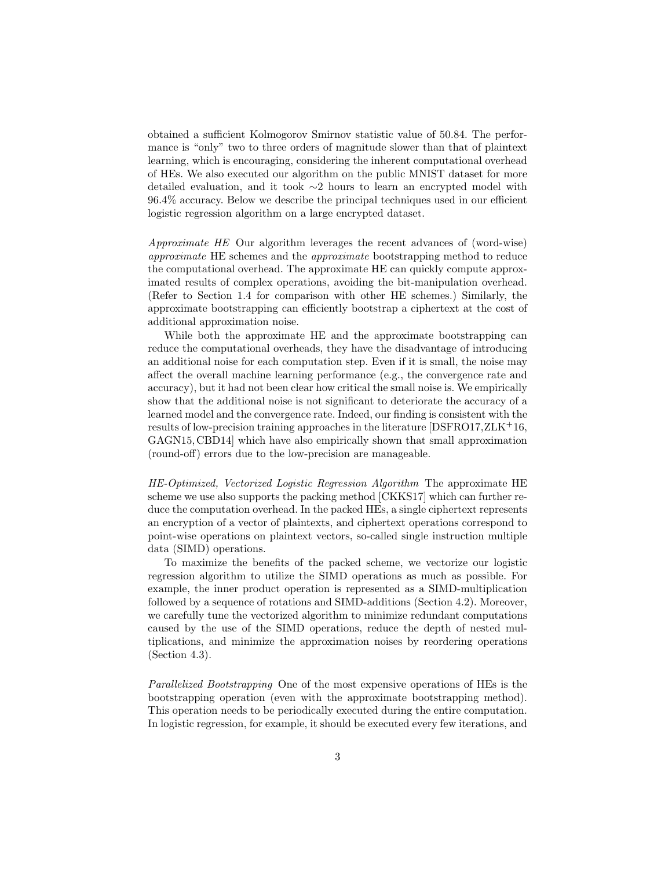obtained a sufficient Kolmogorov Smirnov statistic value of 50.84. The performance is "only" two to three orders of magnitude slower than that of plaintext learning, which is encouraging, considering the inherent computational overhead of HEs. We also executed our algorithm on the public MNIST dataset for more detailed evaluation, and it took ∼2 hours to learn an encrypted model with 96.4% accuracy. Below we describe the principal techniques used in our efficient logistic regression algorithm on a large encrypted dataset.

Approximate HE Our algorithm leverages the recent advances of (word-wise) approximate HE schemes and the approximate bootstrapping method to reduce the computational overhead. The approximate HE can quickly compute approximated results of complex operations, avoiding the bit-manipulation overhead. (Refer to Section 1.4 for comparison with other HE schemes.) Similarly, the approximate bootstrapping can efficiently bootstrap a ciphertext at the cost of additional approximation noise.

While both the approximate HE and the approximate bootstrapping can reduce the computational overheads, they have the disadvantage of introducing an additional noise for each computation step. Even if it is small, the noise may affect the overall machine learning performance (e.g., the convergence rate and accuracy), but it had not been clear how critical the small noise is. We empirically show that the additional noise is not significant to deteriorate the accuracy of a learned model and the convergence rate. Indeed, our finding is consistent with the results of low-precision training approaches in the literature [DSFRO17,ZLK+16, GAGN15, CBD14] which have also empirically shown that small approximation (round-off) errors due to the low-precision are manageable.

HE-Optimized, Vectorized Logistic Regression Algorithm The approximate HE scheme we use also supports the packing method [CKKS17] which can further reduce the computation overhead. In the packed HEs, a single ciphertext represents an encryption of a vector of plaintexts, and ciphertext operations correspond to point-wise operations on plaintext vectors, so-called single instruction multiple data (SIMD) operations.

To maximize the benefits of the packed scheme, we vectorize our logistic regression algorithm to utilize the SIMD operations as much as possible. For example, the inner product operation is represented as a SIMD-multiplication followed by a sequence of rotations and SIMD-additions (Section 4.2). Moreover, we carefully tune the vectorized algorithm to minimize redundant computations caused by the use of the SIMD operations, reduce the depth of nested multiplications, and minimize the approximation noises by reordering operations (Section 4.3).

Parallelized Bootstrapping One of the most expensive operations of HEs is the bootstrapping operation (even with the approximate bootstrapping method). This operation needs to be periodically executed during the entire computation. In logistic regression, for example, it should be executed every few iterations, and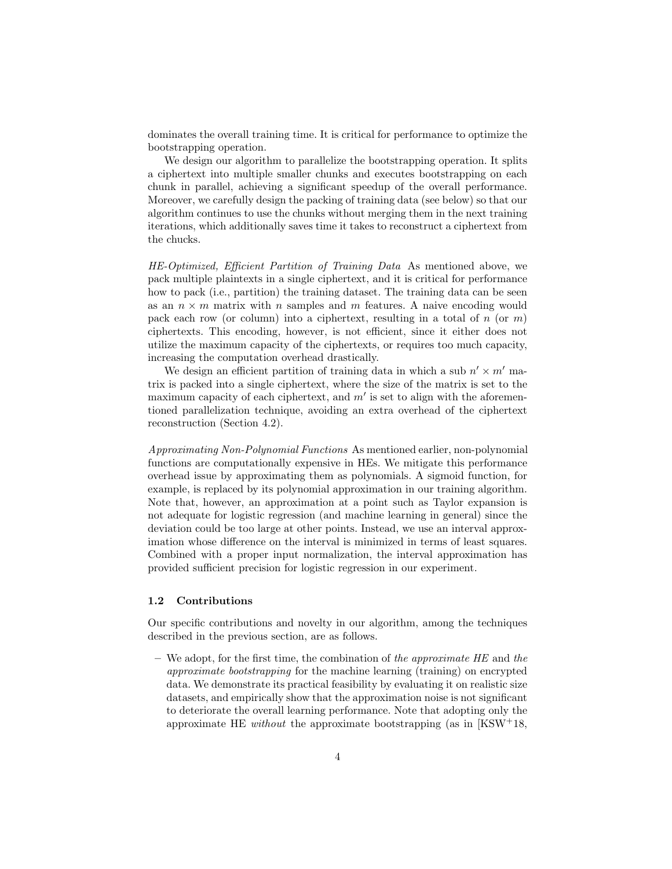dominates the overall training time. It is critical for performance to optimize the bootstrapping operation.

We design our algorithm to parallelize the bootstrapping operation. It splits a ciphertext into multiple smaller chunks and executes bootstrapping on each chunk in parallel, achieving a significant speedup of the overall performance. Moreover, we carefully design the packing of training data (see below) so that our algorithm continues to use the chunks without merging them in the next training iterations, which additionally saves time it takes to reconstruct a ciphertext from the chucks.

HE-Optimized, Efficient Partition of Training Data As mentioned above, we pack multiple plaintexts in a single ciphertext, and it is critical for performance how to pack (i.e., partition) the training dataset. The training data can be seen as an  $n \times m$  matrix with n samples and m features. A naive encoding would pack each row (or column) into a ciphertext, resulting in a total of  $n$  (or  $m$ ) ciphertexts. This encoding, however, is not efficient, since it either does not utilize the maximum capacity of the ciphertexts, or requires too much capacity, increasing the computation overhead drastically.

We design an efficient partition of training data in which a sub  $n' \times m'$  matrix is packed into a single ciphertext, where the size of the matrix is set to the maximum capacity of each ciphertext, and  $m'$  is set to align with the aforementioned parallelization technique, avoiding an extra overhead of the ciphertext reconstruction (Section 4.2).

Approximating Non-Polynomial Functions As mentioned earlier, non-polynomial functions are computationally expensive in HEs. We mitigate this performance overhead issue by approximating them as polynomials. A sigmoid function, for example, is replaced by its polynomial approximation in our training algorithm. Note that, however, an approximation at a point such as Taylor expansion is not adequate for logistic regression (and machine learning in general) since the deviation could be too large at other points. Instead, we use an interval approximation whose difference on the interval is minimized in terms of least squares. Combined with a proper input normalization, the interval approximation has provided sufficient precision for logistic regression in our experiment.

#### 1.2 Contributions

Our specific contributions and novelty in our algorithm, among the techniques described in the previous section, are as follows.

 $-$  We adopt, for the first time, the combination of the approximate HE and the approximate bootstrapping for the machine learning (training) on encrypted data. We demonstrate its practical feasibility by evaluating it on realistic size datasets, and empirically show that the approximation noise is not significant to deteriorate the overall learning performance. Note that adopting only the approximate HE *without* the approximate bootstrapping (as in  $[KSW^+18$ ,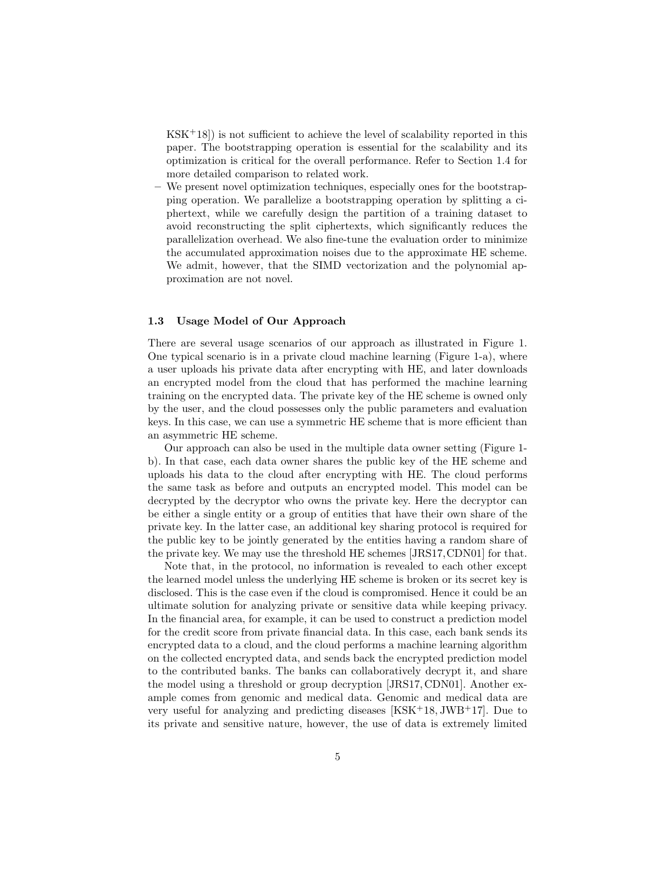$KSK<sup>+</sup>18$ ) is not sufficient to achieve the level of scalability reported in this paper. The bootstrapping operation is essential for the scalability and its optimization is critical for the overall performance. Refer to Section 1.4 for more detailed comparison to related work.

– We present novel optimization techniques, especially ones for the bootstrapping operation. We parallelize a bootstrapping operation by splitting a ciphertext, while we carefully design the partition of a training dataset to avoid reconstructing the split ciphertexts, which significantly reduces the parallelization overhead. We also fine-tune the evaluation order to minimize the accumulated approximation noises due to the approximate HE scheme. We admit, however, that the SIMD vectorization and the polynomial approximation are not novel.

## 1.3 Usage Model of Our Approach

There are several usage scenarios of our approach as illustrated in Figure 1. One typical scenario is in a private cloud machine learning (Figure 1-a), where a user uploads his private data after encrypting with HE, and later downloads an encrypted model from the cloud that has performed the machine learning training on the encrypted data. The private key of the HE scheme is owned only by the user, and the cloud possesses only the public parameters and evaluation keys. In this case, we can use a symmetric HE scheme that is more efficient than an asymmetric HE scheme.

Our approach can also be used in the multiple data owner setting (Figure 1 b). In that case, each data owner shares the public key of the HE scheme and uploads his data to the cloud after encrypting with HE. The cloud performs the same task as before and outputs an encrypted model. This model can be decrypted by the decryptor who owns the private key. Here the decryptor can be either a single entity or a group of entities that have their own share of the private key. In the latter case, an additional key sharing protocol is required for the public key to be jointly generated by the entities having a random share of the private key. We may use the threshold HE schemes [JRS17,CDN01] for that.

Note that, in the protocol, no information is revealed to each other except the learned model unless the underlying HE scheme is broken or its secret key is disclosed. This is the case even if the cloud is compromised. Hence it could be an ultimate solution for analyzing private or sensitive data while keeping privacy. In the financial area, for example, it can be used to construct a prediction model for the credit score from private financial data. In this case, each bank sends its encrypted data to a cloud, and the cloud performs a machine learning algorithm on the collected encrypted data, and sends back the encrypted prediction model to the contributed banks. The banks can collaboratively decrypt it, and share the model using a threshold or group decryption [JRS17, CDN01]. Another example comes from genomic and medical data. Genomic and medical data are very useful for analyzing and predicting diseases  $[KSK<sup>+</sup>18, JWB<sup>+</sup>17]$ . Due to its private and sensitive nature, however, the use of data is extremely limited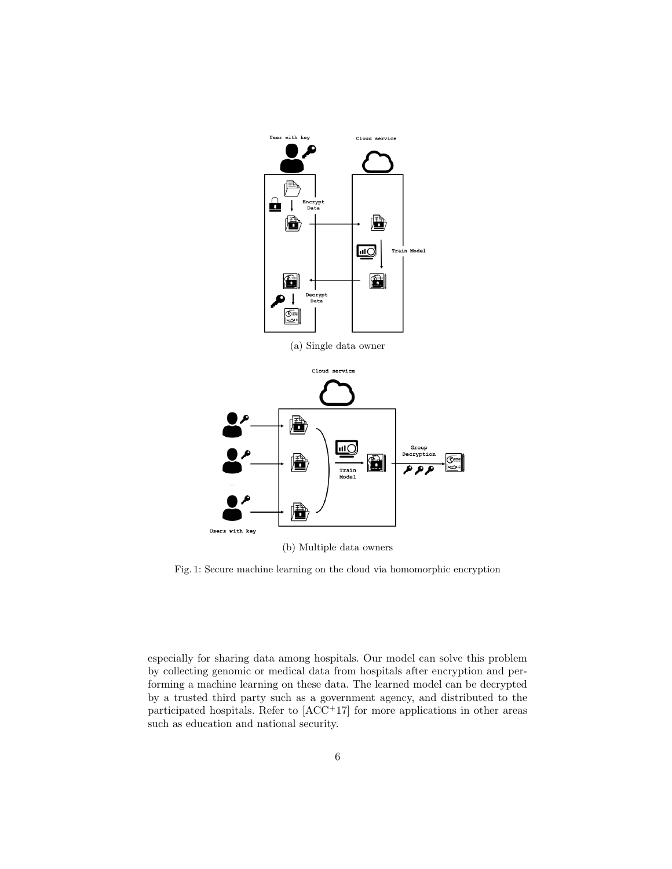

(b) Multiple data owners

Fig. 1: Secure machine learning on the cloud via homomorphic encryption

especially for sharing data among hospitals. Our model can solve this problem by collecting genomic or medical data from hospitals after encryption and performing a machine learning on these data. The learned model can be decrypted by a trusted third party such as a government agency, and distributed to the participated hospitals. Refer to  $[ACC<sup>+</sup>17]$  for more applications in other areas such as education and national security.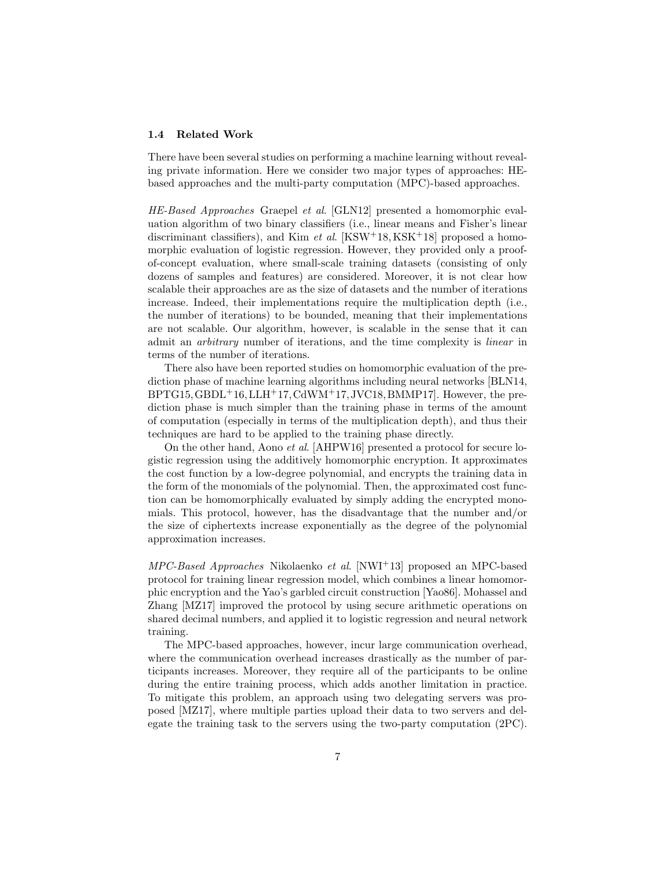#### 1.4 Related Work

There have been several studies on performing a machine learning without revealing private information. Here we consider two major types of approaches: HEbased approaches and the multi-party computation (MPC)-based approaches.

HE-Based Approaches Graepel et al. [GLN12] presented a homomorphic evaluation algorithm of two binary classifiers (i.e., linear means and Fisher's linear discriminant classifiers), and Kim *et al.*  $[KSW^+18, KSK^+18]$  proposed a homomorphic evaluation of logistic regression. However, they provided only a proofof-concept evaluation, where small-scale training datasets (consisting of only dozens of samples and features) are considered. Moreover, it is not clear how scalable their approaches are as the size of datasets and the number of iterations increase. Indeed, their implementations require the multiplication depth (i.e., the number of iterations) to be bounded, meaning that their implementations are not scalable. Our algorithm, however, is scalable in the sense that it can admit an arbitrary number of iterations, and the time complexity is linear in terms of the number of iterations.

There also have been reported studies on homomorphic evaluation of the prediction phase of machine learning algorithms including neural networks [BLN14,  $BPTG15, GBDL+16, LLH+17, CdWM+17, JVC18, BMMP17.$  However, the prediction phase is much simpler than the training phase in terms of the amount of computation (especially in terms of the multiplication depth), and thus their techniques are hard to be applied to the training phase directly.

On the other hand, Aono et al. [AHPW16] presented a protocol for secure logistic regression using the additively homomorphic encryption. It approximates the cost function by a low-degree polynomial, and encrypts the training data in the form of the monomials of the polynomial. Then, the approximated cost function can be homomorphically evaluated by simply adding the encrypted monomials. This protocol, however, has the disadvantage that the number and/or the size of ciphertexts increase exponentially as the degree of the polynomial approximation increases.

MPC-Based Approaches Nikolaenko et al. [NWI+13] proposed an MPC-based protocol for training linear regression model, which combines a linear homomorphic encryption and the Yao's garbled circuit construction [Yao86]. Mohassel and Zhang [MZ17] improved the protocol by using secure arithmetic operations on shared decimal numbers, and applied it to logistic regression and neural network training.

The MPC-based approaches, however, incur large communication overhead, where the communication overhead increases drastically as the number of participants increases. Moreover, they require all of the participants to be online during the entire training process, which adds another limitation in practice. To mitigate this problem, an approach using two delegating servers was proposed [MZ17], where multiple parties upload their data to two servers and delegate the training task to the servers using the two-party computation (2PC).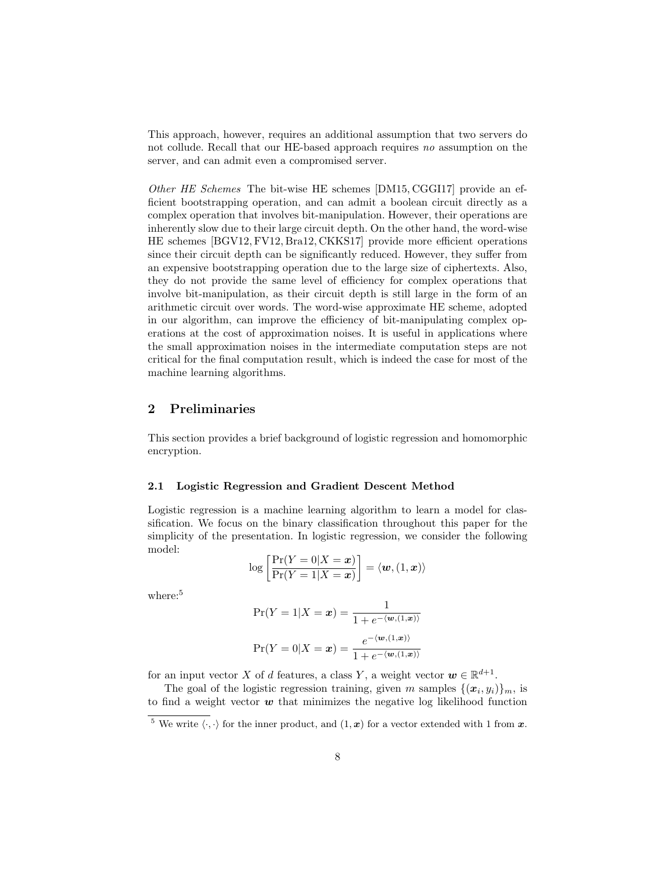This approach, however, requires an additional assumption that two servers do not collude. Recall that our HE-based approach requires no assumption on the server, and can admit even a compromised server.

Other HE Schemes The bit-wise HE schemes [DM15, CGGI17] provide an efficient bootstrapping operation, and can admit a boolean circuit directly as a complex operation that involves bit-manipulation. However, their operations are inherently slow due to their large circuit depth. On the other hand, the word-wise HE schemes [BGV12, FV12, Bra12, CKKS17] provide more efficient operations since their circuit depth can be significantly reduced. However, they suffer from an expensive bootstrapping operation due to the large size of ciphertexts. Also, they do not provide the same level of efficiency for complex operations that involve bit-manipulation, as their circuit depth is still large in the form of an arithmetic circuit over words. The word-wise approximate HE scheme, adopted in our algorithm, can improve the efficiency of bit-manipulating complex operations at the cost of approximation noises. It is useful in applications where the small approximation noises in the intermediate computation steps are not critical for the final computation result, which is indeed the case for most of the machine learning algorithms.

# 2 Preliminaries

This section provides a brief background of logistic regression and homomorphic encryption.

#### 2.1 Logistic Regression and Gradient Descent Method

Logistic regression is a machine learning algorithm to learn a model for classification. We focus on the binary classification throughout this paper for the simplicity of the presentation. In logistic regression, we consider the following model:

$$
\log\left[\frac{\Pr(Y=0|X=x)}{\Pr(Y=1|X=x)}\right] = \langle \boldsymbol{w}, (1, \boldsymbol{x}) \rangle
$$

where:<sup>5</sup>

$$
\Pr(Y = 1 | X = \mathbf{x}) = \frac{1}{1 + e^{-\langle \mathbf{w}, (1, \mathbf{x}) \rangle}}
$$

$$
\Pr(Y = 0 | X = \mathbf{x}) = \frac{e^{-\langle \mathbf{w}, (1, \mathbf{x}) \rangle}}{1 + e^{-\langle \mathbf{w}, (1, \mathbf{x}) \rangle}}
$$

for an input vector X of d features, a class Y, a weight vector  $w \in \mathbb{R}^{d+1}$ .

The goal of the logistic regression training, given m samples  $\{(x_i, y_i)\}_m$ , is to find a weight vector  $\boldsymbol{w}$  that minimizes the negative log likelihood function

 $\frac{5}{6}$  We write  $\langle \cdot, \cdot \rangle$  for the inner product, and  $(1, x)$  for a vector extended with 1 from x.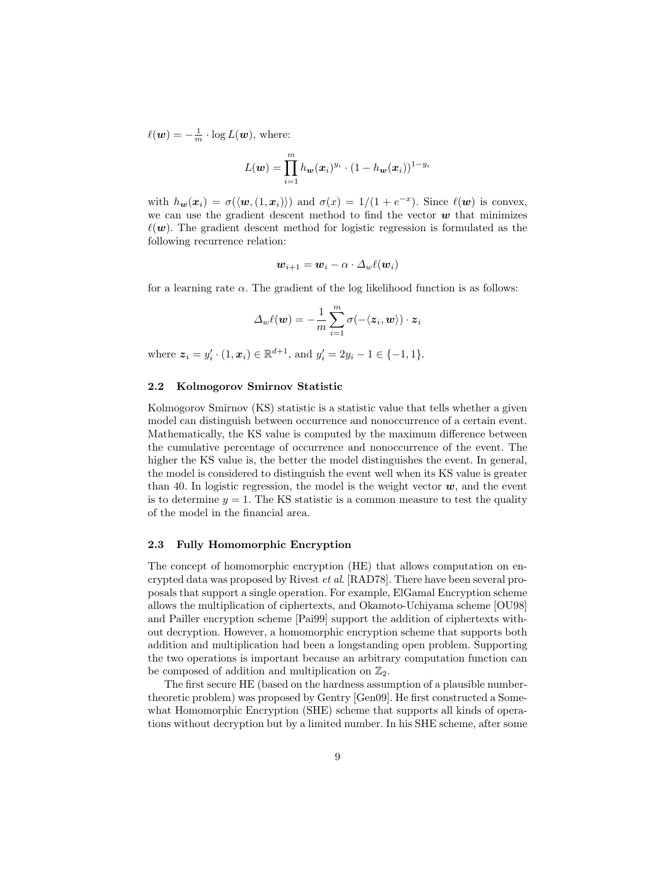$\ell(\boldsymbol{w}) = -\frac{1}{m} \cdot \log L(\boldsymbol{w})$ , where:

$$
L(\boldsymbol{w}) = \prod_{i=1}^m h_{\boldsymbol{w}}(\boldsymbol{x}_i)^{y_i} \cdot (1 - h_{\boldsymbol{w}}(\boldsymbol{x}_i))^{1-y_i}
$$

with  $h_{\mathbf{w}}(\mathbf{x}_i) = \sigma(\langle \mathbf{w}, (1, \mathbf{x}_i) \rangle)$  and  $\sigma(x) = 1/(1 + e^{-x})$ . Since  $\ell(\mathbf{w})$  is convex, we can use the gradient descent method to find the vector  $w$  that minimizes  $\ell(\mathbf{w})$ . The gradient descent method for logistic regression is formulated as the following recurrence relation:

$$
\bm{w}_{i+1} = \bm{w}_i - \alpha \cdot \varDelta_w \ell(\bm{w}_i)
$$

for a learning rate  $\alpha$ . The gradient of the log likelihood function is as follows:

$$
\varDelta_w \ell(\boldsymbol{w}) = -\frac{1}{m} \sum_{i=1}^m \sigma(-\langle \boldsymbol{z}_i, \boldsymbol{w} \rangle) \cdot \boldsymbol{z}_i
$$

where  $z_i = y'_i \cdot (1, x_i) \in \mathbb{R}^{d+1}$ , and  $y'_i = 2y_i - 1 \in \{-1, 1\}$ .

## 2.2 Kolmogorov Smirnov Statistic

Kolmogorov Smirnov (KS) statistic is a statistic value that tells whether a given model can distinguish between occurrence and nonoccurrence of a certain event. Mathematically, the KS value is computed by the maximum difference between the cumulative percentage of occurrence and nonoccurrence of the event. The higher the KS value is, the better the model distinguishes the event. In general, the model is considered to distinguish the event well when its KS value is greater than 40. In logistic regression, the model is the weight vector  $w$ , and the event is to determine  $y = 1$ . The KS statistic is a common measure to test the quality of the model in the financial area.

### 2.3 Fully Homomorphic Encryption

The concept of homomorphic encryption (HE) that allows computation on encrypted data was proposed by Rivest et al. [RAD78]. There have been several proposals that support a single operation. For example, ElGamal Encryption scheme allows the multiplication of ciphertexts, and Okamoto-Uchiyama scheme [OU98] and Pailler encryption scheme [Pai99] support the addition of ciphertexts without decryption. However, a homomorphic encryption scheme that supports both addition and multiplication had been a longstanding open problem. Supporting the two operations is important because an arbitrary computation function can be composed of addition and multiplication on  $\mathbb{Z}_2$ .

The first secure HE (based on the hardness assumption of a plausible numbertheoretic problem) was proposed by Gentry [Gen09]. He first constructed a Somewhat Homomorphic Encryption (SHE) scheme that supports all kinds of operations without decryption but by a limited number. In his SHE scheme, after some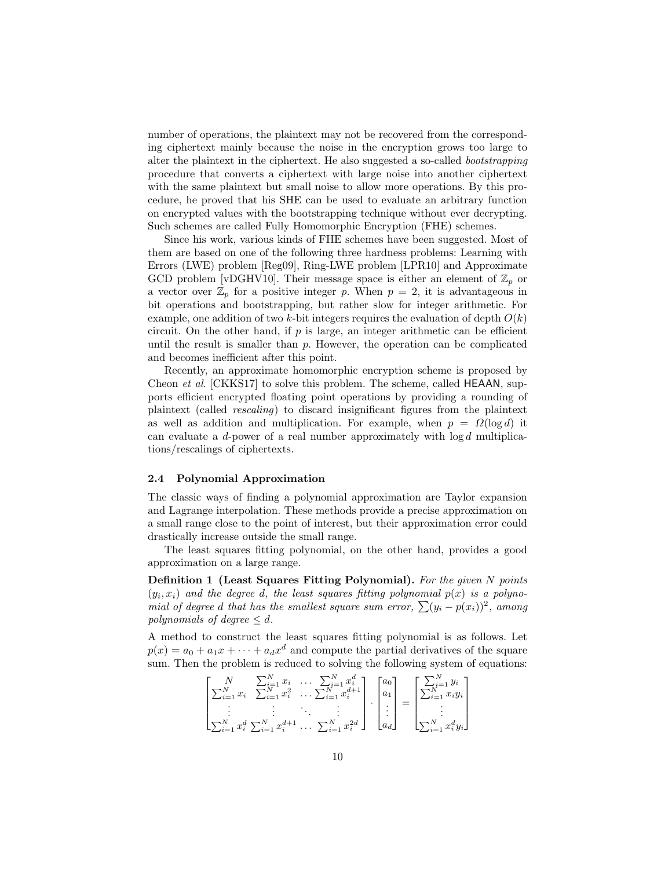number of operations, the plaintext may not be recovered from the corresponding ciphertext mainly because the noise in the encryption grows too large to alter the plaintext in the ciphertext. He also suggested a so-called bootstrapping procedure that converts a ciphertext with large noise into another ciphertext with the same plaintext but small noise to allow more operations. By this procedure, he proved that his SHE can be used to evaluate an arbitrary function on encrypted values with the bootstrapping technique without ever decrypting. Such schemes are called Fully Homomorphic Encryption (FHE) schemes.

Since his work, various kinds of FHE schemes have been suggested. Most of them are based on one of the following three hardness problems: Learning with Errors (LWE) problem [Reg09], Ring-LWE problem [LPR10] and Approximate GCD problem [vDGHV10]. Their message space is either an element of  $\mathbb{Z}_p$  or a vector over  $\mathbb{Z}_p$  for a positive integer p. When  $p = 2$ , it is advantageous in bit operations and bootstrapping, but rather slow for integer arithmetic. For example, one addition of two k-bit integers requires the evaluation of depth  $O(k)$ circuit. On the other hand, if  $p$  is large, an integer arithmetic can be efficient until the result is smaller than  $p$ . However, the operation can be complicated and becomes inefficient after this point.

Recently, an approximate homomorphic encryption scheme is proposed by Cheon *et al.* [CKKS17] to solve this problem. The scheme, called **HEAAN**, supports efficient encrypted floating point operations by providing a rounding of plaintext (called rescaling) to discard insignificant figures from the plaintext as well as addition and multiplication. For example, when  $p = \Omega(\log d)$  it can evaluate a d-power of a real number approximately with  $log d$  multiplications/rescalings of ciphertexts.

#### 2.4 Polynomial Approximation

The classic ways of finding a polynomial approximation are Taylor expansion and Lagrange interpolation. These methods provide a precise approximation on a small range close to the point of interest, but their approximation error could drastically increase outside the small range.

The least squares fitting polynomial, on the other hand, provides a good approximation on a large range.

Definition 1 (Least Squares Fitting Polynomial). For the given N points  $(y_i, x_i)$  and the degree d, the least squares fitting polynomial  $p(x)$  is a polynomial of degree d that has the smallest square sum error,  $\sum (y_i - p(x_i))^2$ , among polynomials of degree  $\leq d$ .

A method to construct the least squares fitting polynomial is as follows. Let  $p(x) = a_0 + a_1x + \cdots + a_dx^d$  and compute the partial derivatives of the square sum. Then the problem is reduced to solving the following system of equations:

$$
\begin{bmatrix} N & \sum_{i=1}^{N} x_i & \sum_{i=1}^{N} x_i & \dots & \sum_{i=1}^{N} x_i^d \\ \sum_{i=1}^{N} x_i & \sum_{i=1}^{N} x_i^2 & \dots & \sum_{i=1}^{N} x_i^{d+1} \\ \vdots & \vdots & \ddots & \vdots \\ \sum_{i=1}^{N} x_i^d & \sum_{i=1}^{N} x_i^{d+1} & \dots & \sum_{i=1}^{N} x_i^{2d} \end{bmatrix} \cdot \begin{bmatrix} a_0 \\ a_1 \\ \vdots \\ a_d \end{bmatrix} = \begin{bmatrix} \sum_{i=1}^{N} y_i \\ \sum_{i=1}^{N} x_i^d y_i \\ \vdots \\ \sum_{i=1}^{N} x_i^d y_i \end{bmatrix}
$$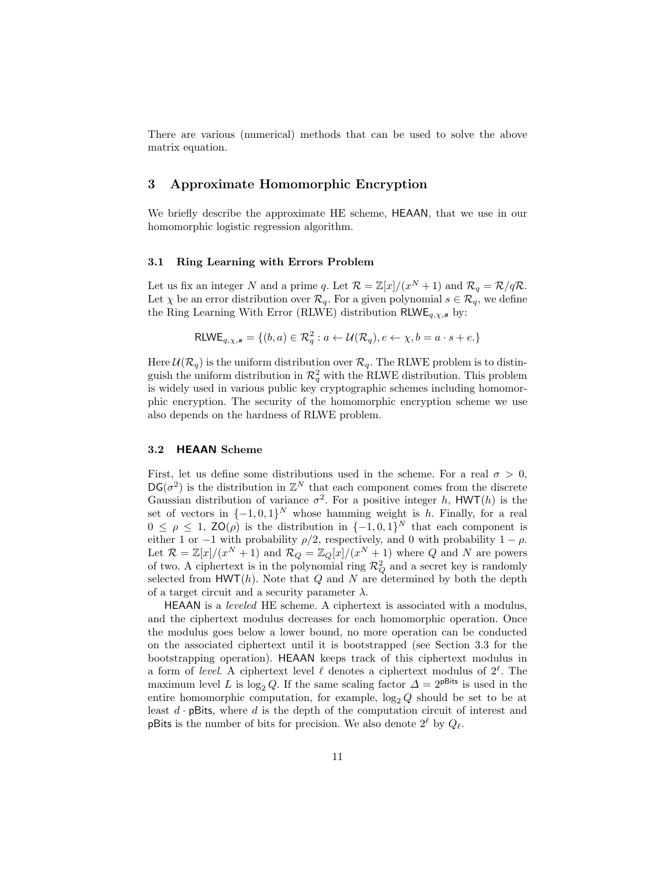There are various (numerical) methods that can be used to solve the above matrix equation.

# 3 Approximate Homomorphic Encryption

We briefly describe the approximate HE scheme, HEAAN, that we use in our homomorphic logistic regression algorithm.

### 3.1 Ring Learning with Errors Problem

Let us fix an integer N and a prime q. Let  $\mathcal{R} = \mathbb{Z}[x]/(x^N + 1)$  and  $\mathcal{R}_q = \mathcal{R}/q\mathcal{R}$ . Let  $\chi$  be an error distribution over  $\mathcal{R}_q$ . For a given polynomial  $s \in \mathcal{R}_q$ , we define the Ring Learning With Error (RLWE) distribution  $RLWE_{q,\chi,s}$  by:

$$
\mathsf{RLWE}_{q,\chi,\mathbf{s}} = \{ (b,a) \in \mathcal{R}_q^2 : a \leftarrow \mathcal{U}(\mathcal{R}_q), e \leftarrow \chi, b = a \cdot s + e \}
$$

Here  $\mathcal{U}(\mathcal{R}_q)$  is the uniform distribution over  $\mathcal{R}_q$ . The RLWE problem is to distinguish the uniform distribution in  $\mathcal{R}_q^2$  with the RLWE distribution. This problem is widely used in various public key cryptographic schemes including homomorphic encryption. The security of the homomorphic encryption scheme we use also depends on the hardness of RLWE problem.

### 3.2 HEAAN Scheme

First, let us define some distributions used in the scheme. For a real  $\sigma > 0$ ,  $DG(\sigma^2)$  is the distribution in  $\mathbb{Z}^N$  that each component comes from the discrete Gaussian distribution of variance  $\sigma^2$ . For a positive integer h, HWT(h) is the set of vectors in  $\{-1,0,1\}^N$  whose hamming weight is h. Finally, for a real  $0 \leq \rho \leq 1$ ,  $\mathsf{ZO}(\rho)$  is the distribution in  $\{-1,0,1\}^N$  that each component is either 1 or −1 with probability  $\rho/2$ , respectively, and 0 with probability  $1 - \rho$ . Let  $\mathcal{R} = \mathbb{Z}[x]/(x^N + 1)$  and  $\mathcal{R}_Q = \mathbb{Z}_Q[x]/(x^N + 1)$  where Q and N are powers of two. A ciphertext is in the polynomial ring  $\mathcal{R}_Q^2$  and a secret key is randomly selected from  $HWT(h)$ . Note that Q and N are determined by both the depth of a target circuit and a security parameter  $\lambda$ .

HEAAN is a leveled HE scheme. A ciphertext is associated with a modulus, and the ciphertext modulus decreases for each homomorphic operation. Once the modulus goes below a lower bound, no more operation can be conducted on the associated ciphertext until it is bootstrapped (see Section 3.3 for the bootstrapping operation). HEAAN keeps track of this ciphertext modulus in a form of level. A ciphertext level  $\ell$  denotes a ciphertext modulus of  $2^{\ell}$ . The maximum level L is log<sub>2</sub> Q. If the same scaling factor  $\Delta = 2^{pBits}$  is used in the entire homomorphic computation, for example,  $\log_2 Q$  should be set to be at least  $d \cdot p$ Bits, where  $d$  is the depth of the computation circuit of interest and **pBits** is the number of bits for precision. We also denote  $2^{\ell}$  by  $Q_{\ell}$ .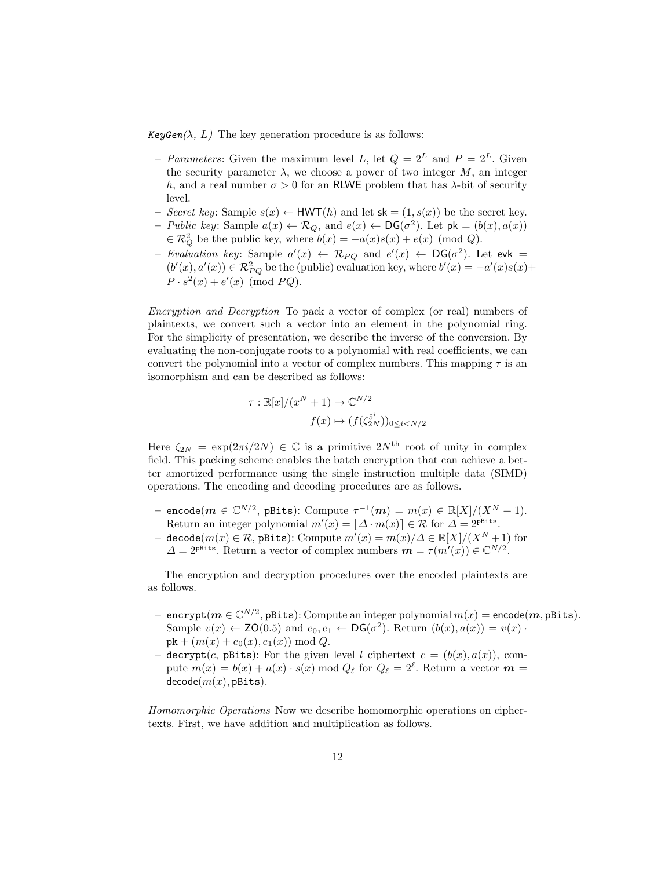$KeyGen(\lambda, L)$  The key generation procedure is as follows:

- Parameters: Given the maximum level L, let  $Q = 2^L$  and  $P = 2^L$ . Given the security parameter  $\lambda$ , we choose a power of two integer M, an integer h, and a real number  $\sigma > 0$  for an RLWE problem that has  $\lambda$ -bit of security level.
- Secret key: Sample  $s(x) \leftarrow HWT(h)$  and let  $sk = (1, s(x))$  be the secret key.
- Public key: Sample  $a(x) \leftarrow \mathcal{R}_Q$ , and  $e(x) \leftarrow DG(\sigma^2)$ . Let  $pk = (b(x), a(x))$  $\in \mathcal{R}_Q^2$  be the public key, where  $b(x) = -a(x)s(x) + e(x) \pmod{Q}$ .
- Evaluation key: Sample  $a'(x) \leftarrow \mathcal{R}_{PQ}$  and  $e'(x) \leftarrow DG(\sigma^2)$ . Let evk =  $(b'(x), a'(x)) \in \mathcal{R}_{PQ}^2$  be the (public) evaluation key, where  $b'(x) = -a'(x)s(x) +$  $P \cdot s^2(x) + e'(x) \pmod{PQ}.$

Encryption and Decryption To pack a vector of complex (or real) numbers of plaintexts, we convert such a vector into an element in the polynomial ring. For the simplicity of presentation, we describe the inverse of the conversion. By evaluating the non-conjugate roots to a polynomial with real coefficients, we can convert the polynomial into a vector of complex numbers. This mapping  $\tau$  is an isomorphism and can be described as follows:

$$
\tau : \mathbb{R}[x]/(x^N + 1) \to \mathbb{C}^{N/2}
$$

$$
f(x) \mapsto (f(\zeta_{2N}^{5^i}))_{0 \le i < N/2}
$$

Here  $\zeta_{2N} = \exp(2\pi i/2N) \in \mathbb{C}$  is a primitive  $2N^{\text{th}}$  root of unity in complex field. This packing scheme enables the batch encryption that can achieve a better amortized performance using the single instruction multiple data (SIMD) operations. The encoding and decoding procedures are as follows.

- $-$  encode $(m \in \mathbb{C}^{N/2}, \, \texttt{pBits})$ : Compute  $\tau^{-1}(\boldsymbol{m}) = m(x) \in \mathbb{R}[X]/(X^N+1)$ . Return an integer polynomial  $m'(x) = |\Delta \cdot m(x)| \in \mathcal{R}$  for  $\Delta = 2^{p_{\text{Rits}}}.$
- decode $(m(x) \in \mathcal{R}$ , pBits): Compute  $m'(x) = m(x)/\Delta \in \mathbb{R}[X]/(X^N + 1)$  for  $\Delta = 2^{\text{pbits}}$ . Return a vector of complex numbers  $\mathbf{m} = \tau(m'(x)) \in \mathbb{C}^{N/2}$ .

The encryption and decryption procedures over the encoded plaintexts are as follows.

- $-$  encrypt $(m \in \mathbb{C}^{N/2},$  pBits):  $\text{Compute an integer polynomial } m(x) = \text{\textsf{encode}}(\bm{m}, \text{\textsf{Bits}}).$ Sample  $v(x) \leftarrow \text{ZO}(0.5)$  and  $e_0, e_1 \leftarrow \text{DG}(\sigma^2)$ . Return  $(b(x), a(x)) = v(x)$ .  $pk + (m(x) + e_0(x), e_1(x)) \bmod Q.$
- decrypt(c, pBits): For the given level l ciphertext  $c = (b(x), a(x))$ , compute  $m(x) = b(x) + a(x) \cdot s(x) \mod Q_\ell$  for  $Q_\ell = 2^\ell$ . Return a vector  $\boldsymbol{m} =$  $decode(m(x), p_{\text{Bits}})$ .

Homomorphic Operations Now we describe homomorphic operations on ciphertexts. First, we have addition and multiplication as follows.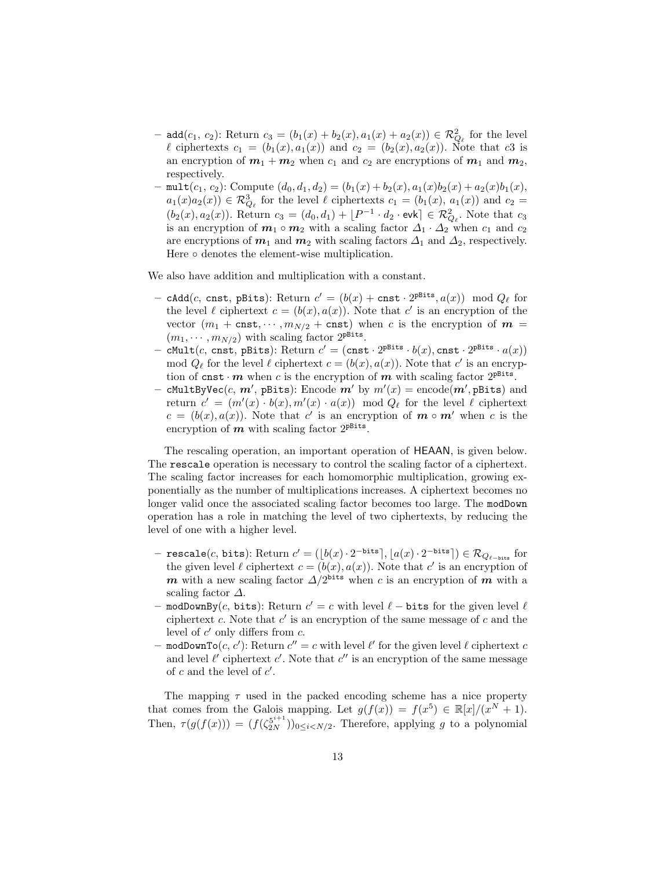- add( $c_1, c_2$ ): Return  $c_3 = (b_1(x) + b_2(x), a_1(x) + a_2(x)) \in \mathcal{R}_{Q_\ell}^2$  for the level  $\ell$  ciphertexts  $c_1 = (b_1(x), a_1(x))$  and  $c_2 = (b_2(x), a_2(x))$ . Note that c3 is an encryption of  $m_1 + m_2$  when  $c_1$  and  $c_2$  are encryptions of  $m_1$  and  $m_2$ , respectively.
- mult $(c_1, c_2)$ : Compute  $(d_0, d_1, d_2) = (b_1(x) + b_2(x), a_1(x)b_2(x) + a_2(x)b_1(x),$  $a_1(x)a_2(x)$   $\in \mathcal{R}_{Q_\ell}^3$  for the level  $\ell$  ciphertexts  $c_1 = (b_1(x), a_1(x))$  and  $c_2 =$  $(b_2(x), a_2(x))$ . Return  $c_3 = (d_0, d_1) + [P^{-1} \cdot d_2 \cdot \text{evk}] \in \mathcal{R}_{Q_\ell}^2$ . Note that  $c_3$ is an encryption of  $m_1 \circ m_2$  with a scaling factor  $\Delta_1 \cdot \Delta_2$  when  $c_1$  and  $c_2$ are encryptions of  $m_1$  and  $m_2$  with scaling factors  $\Delta_1$  and  $\Delta_2$ , respectively. Here ∘ denotes the element-wise multiplication.

We also have addition and multiplication with a constant.

- cAdd(*c*, cnst, pBits): Return  $c' = (b(x) + \text{cnst} \cdot 2^{\text{pbits}}, a(x)) \mod Q_\ell$  for the level  $\ell$  ciphertext  $c = (b(x), a(x))$ . Note that c' is an encryption of the vector  $(m_1 + \text{cnst}, \dots, m_{N/2} + \text{cnst})$  when c is the encryption of  $m =$  $(m_1, \dots, m_{N/2})$  with scaling factor  $2^{\text{pBits}}$ .
- cMult $(c, \text{cnst}, \text{pBits})$ : Return  $c' = (\text{cnst} \cdot 2^{\text{pBits}} \cdot b(x), \text{cnst} \cdot 2^{\text{pBits}} \cdot a(x))$ mod  $Q_\ell$  for the level  $\ell$  ciphertext  $c = (b(x), a(x))$ . Note that c' is an encryption of cnst  $\cdot$  m when c is the encryption of m with scaling factor  $2^{pBits}$ .
- cMultByVec $(c, m', {\tt \ (}_{\tt s})$ : Encode  $m'$  by  $m'(x) = {\tt encode}(m', {\tt \ (}_{\tt s})$  and return  $c' = (m'(x) \cdot b(x), m'(x) \cdot a(x)) \mod Q_\ell$  for the level  $\ell$  ciphertext  $c = (b(x), a(x))$ . Note that c' is an encryption of  $m \circ m'$  when c is the encryption of  $m$  with scaling factor  $2^{pBits}$ .

The rescaling operation, an important operation of HEAAN, is given below. The rescale operation is necessary to control the scaling factor of a ciphertext. The scaling factor increases for each homomorphic multiplication, growing exponentially as the number of multiplications increases. A ciphertext becomes no longer valid once the associated scaling factor becomes too large. The modDown operation has a role in matching the level of two ciphertexts, by reducing the level of one with a higher level.

- − rescale(*c*, bits): Return  $c' = (\lfloor b(x) \cdot 2^{-\text{bits}} \rfloor, \lfloor a(x) \cdot 2^{-\text{bits}} \rfloor) \in \mathcal{R}_{Q_{\ell-\text{bits}}}$  for the given level  $\ell$  ciphertext  $c = (b(x), a(x))$ . Note that c' is an encryption of m with a new scaling factor  $\Delta/2^{\text{bits}}$  when c is an encryption of m with a scaling factor  $\Delta$ .
- modDownBy(c, bits): Return  $c' = c$  with level  $\ell$  bits for the given level  $\ell$ ciphertext  $c$ . Note that  $c'$  is an encryption of the same message of  $c$  and the level of  $c'$  only differs from  $c$ .
- modDownTo $(c, c')$ : Return  $c'' = c$  with level  $\ell'$  for the given level  $\ell$  ciphertext  $c$ and level  $\ell'$  ciphertext  $c'$ . Note that  $c''$  is an encryption of the same message of  $c$  and the level of  $c'$ .

The mapping  $\tau$  used in the packed encoding scheme has a nice property that comes from the Galois mapping. Let  $g(f(x)) = f(x^5) \in \mathbb{R}[x]/(x^N + 1)$ . Then,  $\tau(g(f(x))) = (f(\zeta_{2N}^{5^{i+1}}))_{0 \leq i < N/2}$ . Therefore, applying g to a polynomial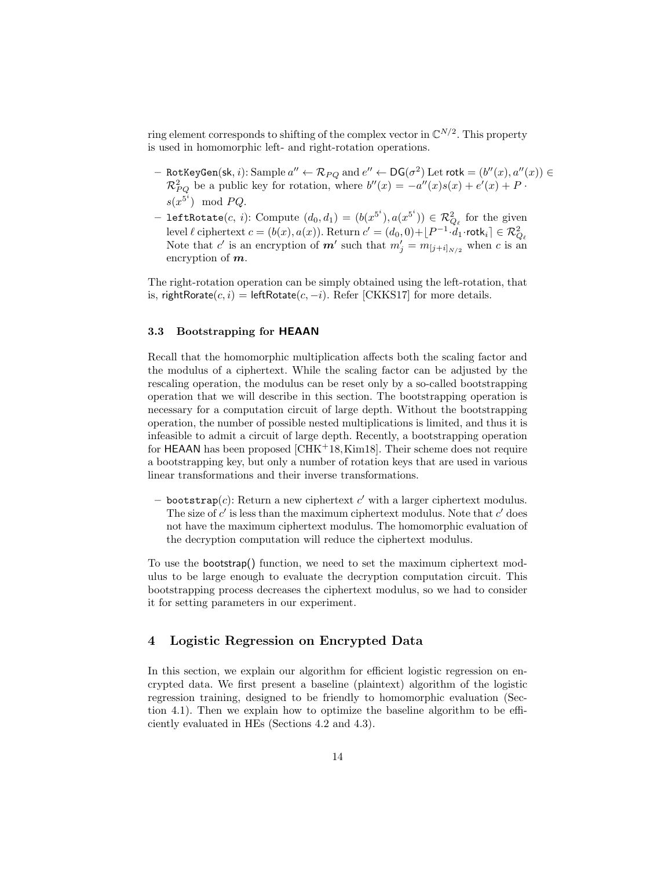ring element corresponds to shifting of the complex vector in  $\mathbb{C}^{N/2}$ . This property is used in homomorphic left- and right-rotation operations.

- $-$  RotKeyGen(sk,  $i$ ): Sample  $a'' \leftarrow \mathcal{R}_{PQ}$  and  $e'' \leftarrow DG(\sigma^2)$  Let rotk  $= (b''(x), a''(x)) \in$  $\mathcal{R}_{PQ}^2$  be a public key for rotation, where  $b''(x) = -a''(x)s(x) + e'(x) + P$ .  $s(x^{5^i}) \mod PQ$ .
- leftRotate $(c, i)$ : Compute  $(d_0, d_1) = (b(x^{5^i}), a(x^{5^i})) \in \mathcal{R}_{Q_\ell}^2$  for the given level  $\ell$  ciphertext  $c = (b(x), a(x))$ . Return  $c' = (d_0, 0) + \lfloor P^{-1} \cdot d_1 \cdot \text{rotl}_i \rceil \in \mathcal{R}_{Q_\ell}^2$ Note that c' is an encryption of  $m'$  such that  $m'_{j} = m_{[j+i]_{N/2}}$  when c is an encryption of  $m$ .

The right-rotation operation can be simply obtained using the left-rotation, that is, rightRorate(c, i) = leftRotate(c, -i). Refer [CKKS17] for more details.

## 3.3 Bootstrapping for HEAAN

Recall that the homomorphic multiplication affects both the scaling factor and the modulus of a ciphertext. While the scaling factor can be adjusted by the rescaling operation, the modulus can be reset only by a so-called bootstrapping operation that we will describe in this section. The bootstrapping operation is necessary for a computation circuit of large depth. Without the bootstrapping operation, the number of possible nested multiplications is limited, and thus it is infeasible to admit a circuit of large depth. Recently, a bootstrapping operation for HEAAN has been proposed  $\left[CHK^+18, Kim18\right]$ . Their scheme does not require a bootstrapping key, but only a number of rotation keys that are used in various linear transformations and their inverse transformations.

- bootstrap $(c)$ : Return a new ciphertext  $c'$  with a larger ciphertext modulus. The size of  $c'$  is less than the maximum ciphertext modulus. Note that  $c'$  does not have the maximum ciphertext modulus. The homomorphic evaluation of the decryption computation will reduce the ciphertext modulus.

To use the bootstrap() function, we need to set the maximum ciphertext modulus to be large enough to evaluate the decryption computation circuit. This bootstrapping process decreases the ciphertext modulus, so we had to consider it for setting parameters in our experiment.

# 4 Logistic Regression on Encrypted Data

In this section, we explain our algorithm for efficient logistic regression on encrypted data. We first present a baseline (plaintext) algorithm of the logistic regression training, designed to be friendly to homomorphic evaluation (Section 4.1). Then we explain how to optimize the baseline algorithm to be efficiently evaluated in HEs (Sections 4.2 and 4.3).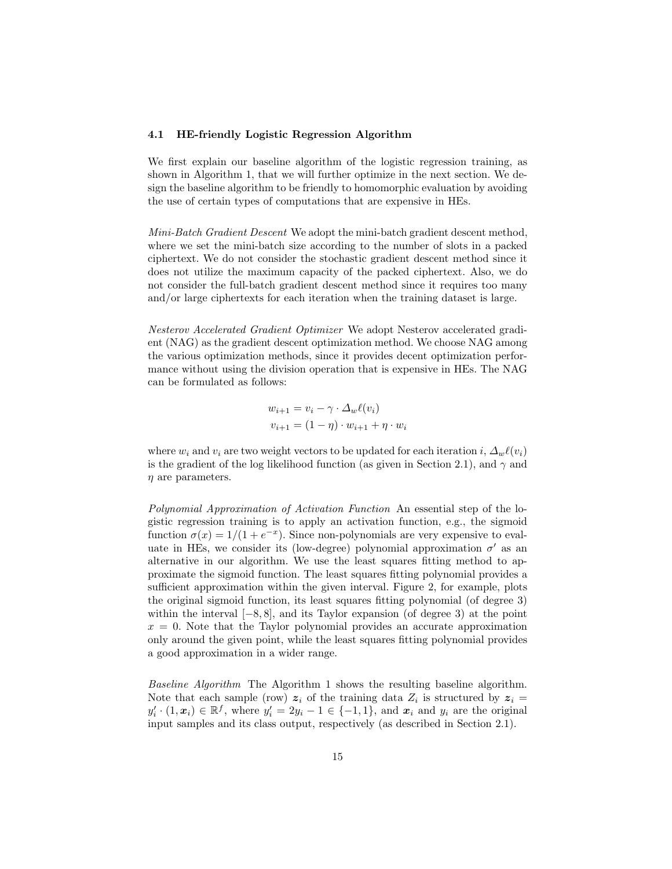### 4.1 HE-friendly Logistic Regression Algorithm

We first explain our baseline algorithm of the logistic regression training, as shown in Algorithm 1, that we will further optimize in the next section. We design the baseline algorithm to be friendly to homomorphic evaluation by avoiding the use of certain types of computations that are expensive in HEs.

Mini-Batch Gradient Descent We adopt the mini-batch gradient descent method, where we set the mini-batch size according to the number of slots in a packed ciphertext. We do not consider the stochastic gradient descent method since it does not utilize the maximum capacity of the packed ciphertext. Also, we do not consider the full-batch gradient descent method since it requires too many and/or large ciphertexts for each iteration when the training dataset is large.

Nesterov Accelerated Gradient Optimizer We adopt Nesterov accelerated gradient (NAG) as the gradient descent optimization method. We choose NAG among the various optimization methods, since it provides decent optimization performance without using the division operation that is expensive in HEs. The NAG can be formulated as follows:

$$
w_{i+1} = v_i - \gamma \cdot \Delta_w \ell(v_i)
$$
  

$$
v_{i+1} = (1 - \eta) \cdot w_{i+1} + \eta \cdot w_i
$$

where  $w_i$  and  $v_i$  are two weight vectors to be updated for each iteration i,  $\Delta_w \ell(v_i)$ is the gradient of the log likelihood function (as given in Section 2.1), and  $\gamma$  and  $\eta$  are parameters.

Polynomial Approximation of Activation Function An essential step of the logistic regression training is to apply an activation function, e.g., the sigmoid function  $\sigma(x) = 1/(1 + e^{-x})$ . Since non-polynomials are very expensive to evaluate in HEs, we consider its (low-degree) polynomial approximation  $\sigma'$  as an alternative in our algorithm. We use the least squares fitting method to approximate the sigmoid function. The least squares fitting polynomial provides a sufficient approximation within the given interval. Figure 2, for example, plots the original sigmoid function, its least squares fitting polynomial (of degree 3) within the interval  $[-8, 8]$ , and its Taylor expansion (of degree 3) at the point  $x = 0$ . Note that the Taylor polynomial provides an accurate approximation only around the given point, while the least squares fitting polynomial provides a good approximation in a wider range.

Baseline Algorithm The Algorithm 1 shows the resulting baseline algorithm. Note that each sample (row)  $z_i$  of the training data  $Z_i$  is structured by  $z_i =$  $y'_i \cdot (1, x_i) \in \mathbb{R}^f$ , where  $y'_i = 2y_i - 1 \in \{-1, 1\}$ , and  $x_i$  and  $y_i$  are the original input samples and its class output, respectively (as described in Section 2.1).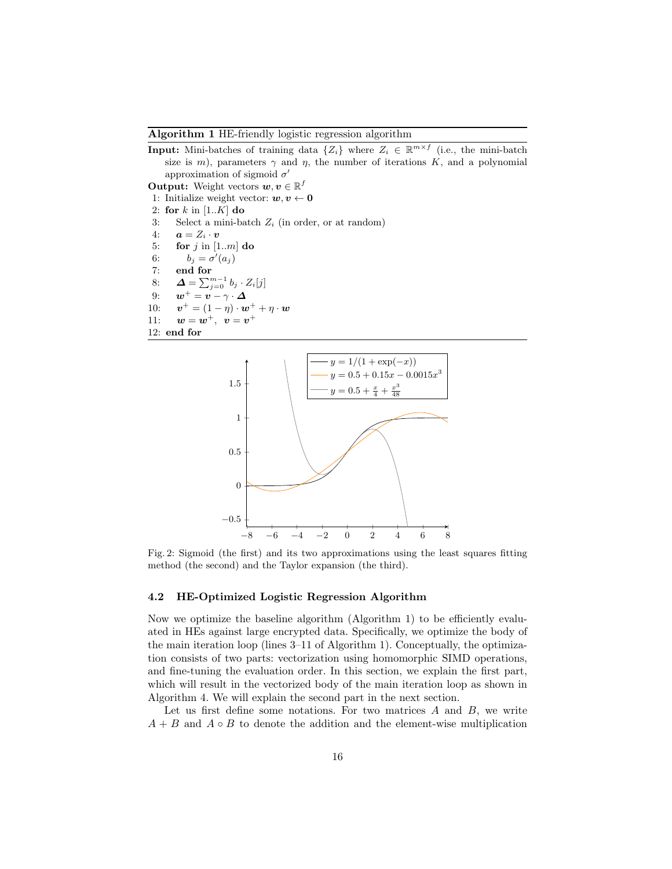#### Algorithm 1 HE-friendly logistic regression algorithm

**Input:** Mini-batches of training data  $\{Z_i\}$  where  $Z_i \in \mathbb{R}^{m \times f}$  (i.e., the mini-batch size is m), parameters  $\gamma$  and  $\eta$ , the number of iterations K, and a polynomial approximation of sigmoid  $\sigma'$ 

**Output:** Weight vectors  $w, v \in \mathbb{R}^f$ 

- 1: Initialize weight vector:  $w, v \leftarrow 0$
- 2: for  $k$  in [1.. $K$ ] do
- 3: Select a mini-batch  $Z_i$  (in order, or at random)
- 4:  $\mathbf{a} = Z_i \cdot \mathbf{v}$
- 5: for  $j$  in [1..m] do
- 6:  $b_j = \sigma'(a_j)$
- 7: end for
- 8:  $\mathbf{\Delta} = \sum_{j=0}^{m-1} b_j \cdot Z_i[j]$
- 9:  $\boldsymbol{w}^+ = \boldsymbol{v} \gamma \cdot \boldsymbol{\Delta}$
- $10:$  $v^+ = (1 - \eta) \cdot w^+ + \eta \cdot w$
- 11:  $w = w^+, v = v^+$
- 12: end for



Fig. 2: Sigmoid (the first) and its two approximations using the least squares fitting method (the second) and the Taylor expansion (the third).

### 4.2 HE-Optimized Logistic Regression Algorithm

Now we optimize the baseline algorithm (Algorithm 1) to be efficiently evaluated in HEs against large encrypted data. Specifically, we optimize the body of the main iteration loop (lines 3–11 of Algorithm 1). Conceptually, the optimization consists of two parts: vectorization using homomorphic SIMD operations, and fine-tuning the evaluation order. In this section, we explain the first part, which will result in the vectorized body of the main iteration loop as shown in Algorithm 4. We will explain the second part in the next section.

Let us first define some notations. For two matrices  $A$  and  $B$ , we write  $A + B$  and  $A \circ B$  to denote the addition and the element-wise multiplication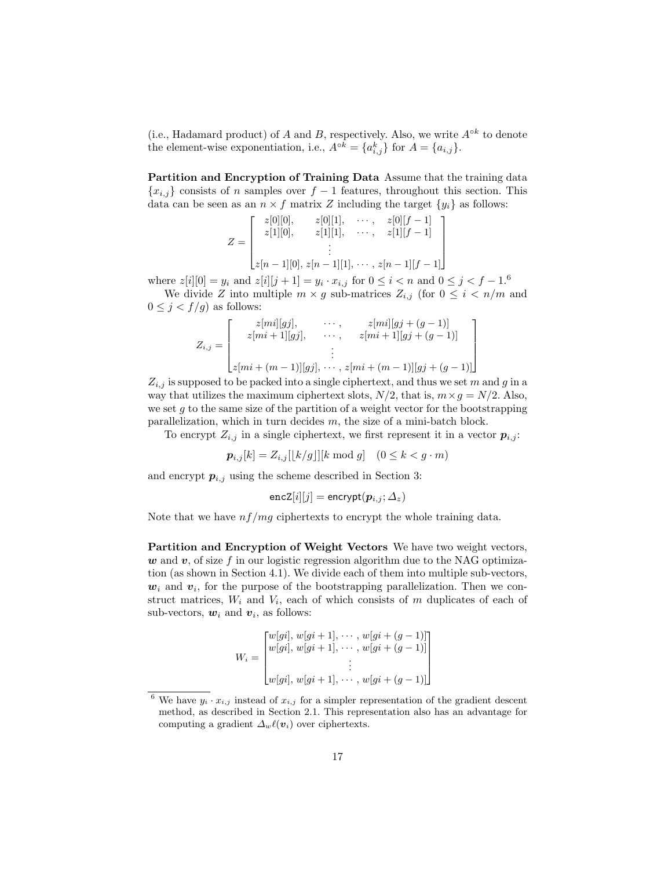(i.e., Hadamard product) of A and B, respectively. Also, we write  $A^{\circ k}$  to denote the element-wise exponentiation, i.e.,  $A^{\circ k} = \{a_{i,j}^k\}$  for  $A = \{a_{i,j}\}.$ 

Partition and Encryption of Training Data Assume that the training data  ${x_{i,j}}$  consists of n samples over  $f-1$  features, throughout this section. This data can be seen as an  $n \times f$  matrix Z including the target  $\{y_i\}$  as follows:

$$
Z = \begin{bmatrix} z[0][0], & z[0][1], & \cdots, & z[0][f-1] \\ z[1][0], & z[1][1], & \cdots, & z[1][f-1] \\ \vdots & & \vdots \\ z[n-1][0], z[n-1][1], & \cdots, & z[n-1][f-1] \end{bmatrix}
$$

where  $z[i][0] = y_i$  and  $z[i][j+1] = y_i \cdot x_{i,j}$  for  $0 \le i < n$  and  $0 \le j < j-1$ .<sup>6</sup>

We divide Z into multiple  $m \times g$  sub-matrices  $Z_{i,j}$  (for  $0 \leq i \leq n/m$  and  $0 \leq j < f/g$ ) as follows:

$$
Z_{i,j} = \begin{bmatrix} z[mi][gj], & \cdots, & z[mi][gj + (g-1)] \\ z[mi+1][gj], & \cdots, & z[mi+1][gj + (g-1)] \\ \vdots & & \vdots \\ z[mi + (m-1)][gj], & \cdots, & z[mi + (m-1)][gj + (g-1)] \end{bmatrix}
$$

 $Z_{i,j}$  is supposed to be packed into a single ciphertext, and thus we set m and g in a way that utilizes the maximum ciphertext slots,  $N/2$ , that is,  $m \times g = N/2$ . Also, we set  $g$  to the same size of the partition of a weight vector for the bootstrapping parallelization, which in turn decides  $m$ , the size of a mini-batch block.

To encrypt  $Z_{i,j}$  in a single ciphertext, we first represent it in a vector  $p_{i,j}$ :

$$
\boldsymbol{p}_{i,j}[k] = Z_{i,j}[[k/g]][k \bmod g] \quad (0 \le k < g \cdot m)
$$

and encrypt  $p_{i,j}$  using the scheme described in Section 3:

$$
\texttt{encZ}[i][j] = \texttt{encrypt}(\boldsymbol{p}_{i,j};\Delta_z)
$$

Note that we have  $nf/mg$  ciphertexts to encrypt the whole training data.

Partition and Encryption of Weight Vectors We have two weight vectors,  $w$  and  $v$ , of size f in our logistic regression algorithm due to the NAG optimization (as shown in Section 4.1). We divide each of them into multiple sub-vectors,  $w_i$  and  $v_i$ , for the purpose of the bootstrapping parallelization. Then we construct matrices,  $W_i$  and  $V_i$ , each of which consists of m duplicates of each of sub-vectors,  $w_i$  and  $v_i$ , as follows:

$$
W_i = \begin{bmatrix} w[gi], w[gi+1], \cdots, w[gi+(g-1)] \\ w[gi], w[gi+1], \cdots, w[gi+(g-1)] \\ \vdots \\ w[gi], w[gi+1], \cdots, w[gi+(g-1)] \end{bmatrix}
$$

<sup>&</sup>lt;sup>6</sup> We have  $y_i \cdot x_{i,j}$  instead of  $x_{i,j}$  for a simpler representation of the gradient descent method, as described in Section 2.1. This representation also has an advantage for computing a gradient  $\Delta_w \ell(v_i)$  over ciphertexts.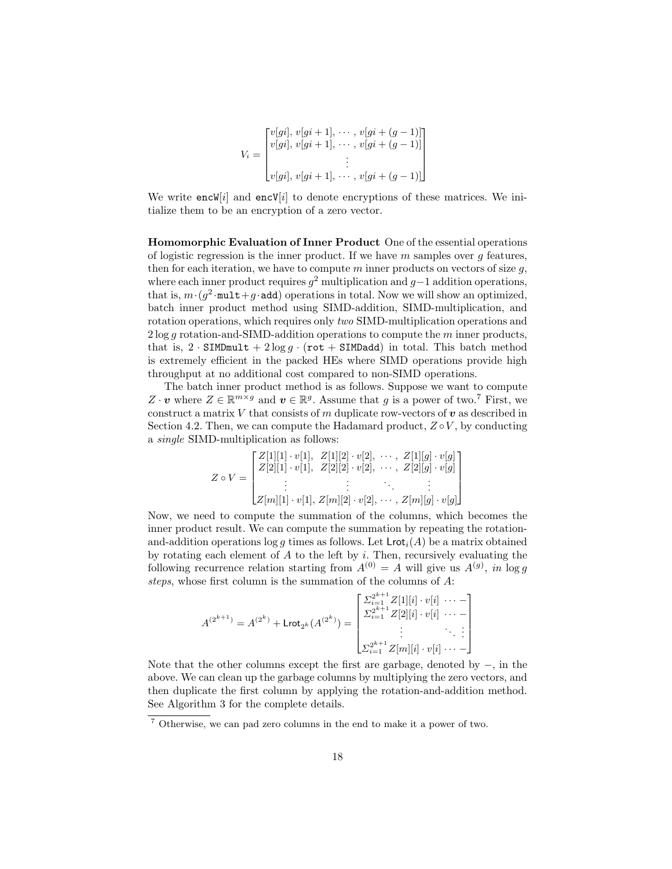$$
V_i = \begin{bmatrix} v[gi], v[gi+1], \cdots, v[gi+(g-1)] \\ v[gi], v[gi+1], \cdots, v[gi+(g-1)] \\ \vdots \\ v[gi], v[gi+1], \cdots, v[gi+(g-1)] \end{bmatrix}
$$

We write  $encW[i]$  and  $encV[i]$  to denote encryptions of these matrices. We initialize them to be an encryption of a zero vector.

Homomorphic Evaluation of Inner Product One of the essential operations of logistic regression is the inner product. If we have  $m$  samples over  $g$  features, then for each iteration, we have to compute m inner products on vectors of size  $q$ , where each inner product requires  $g^2$  multiplication and  $g-1$  addition operations, that is,  $m \cdot (g^2 \cdot \text{mult} + g \cdot \text{add})$  operations in total. Now we will show an optimized, batch inner product method using SIMD-addition, SIMD-multiplication, and rotation operations, which requires only two SIMD-multiplication operations and  $2 \log g$  rotation-and-SIMD-addition operations to compute the m inner products, that is,  $2 \cdot \text{SIMDmult} + 2 \log q \cdot (\text{rot} + \text{SIMDadd})$  in total. This batch method is extremely efficient in the packed HEs where SIMD operations provide high throughput at no additional cost compared to non-SIMD operations.

The batch inner product method is as follows. Suppose we want to compute Z  $\cdot v$  where  $Z \in \mathbb{R}^{m \times g}$  and  $v \in \mathbb{R}^g$ . Assume that g is a power of two.<sup>7</sup> First, we construct a matrix  $V$  that consists of  $m$  duplicate row-vectors of  $v$  as described in Section 4.2. Then, we can compute the Hadamard product,  $Z \circ V$ , by conducting a single SIMD-multiplication as follows:

$$
Z \circ V = \begin{bmatrix} Z[1][1] \cdot v[1], & Z[1][2] \cdot v[2], & \cdots, & Z[1][g] \cdot v[g] \\ Z[2][1] \cdot v[1], & Z[2][2] \cdot v[2], & \cdots, & Z[2][g] \cdot v[g] \\ \vdots & \vdots & \ddots & \vdots \\ Z[m][1] \cdot v[1], & Z[m][2] \cdot v[2], & \cdots, & Z[m][g] \cdot v[g] \end{bmatrix}
$$

Now, we need to compute the summation of the columns, which becomes the inner product result. We can compute the summation by repeating the rotationand-addition operations  $\log g$  times as follows. Let  $\mathsf{Lrot}_i(A)$  be a matrix obtained by rotating each element of  $A$  to the left by  $i$ . Then, recursively evaluating the following recurrence relation starting from  $A^{(0)} = A$  will give us  $A^{(g)}$ , in log g steps, whose first column is the summation of the columns of A:

$$
A^{(2^{k+1})} = A^{(2^k)} + \text{Lrot}_{2^k}(A^{(2^k)}) = \begin{bmatrix} \sum_{i=1}^{2^{k+1}} Z[1][i] \cdot v[i] & \cdots - \\ \sum_{i=1}^{2^{k+1}} Z[2][i] \cdot v[i] & \cdots - \\ \vdots & \ddots & \vdots \\ \sum_{i=1}^{2^{k+1}} Z[m][i] \cdot v[i] & \cdots - \end{bmatrix}
$$

Note that the other columns except the first are garbage, denoted by −, in the above. We can clean up the garbage columns by multiplying the zero vectors, and then duplicate the first column by applying the rotation-and-addition method. See Algorithm 3 for the complete details.

<sup>7</sup> Otherwise, we can pad zero columns in the end to make it a power of two.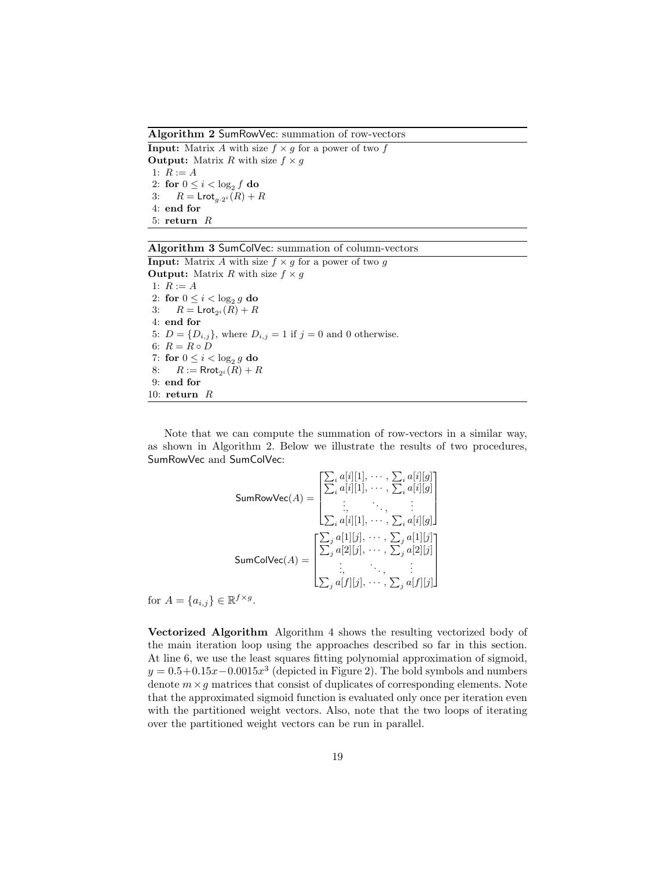Algorithm 2 SumRowVec: summation of row-vectors

**Input:** Matrix A with size  $f \times g$  for a power of two f **Output:** Matrix R with size  $f \times g$ 1:  $R := A$ 2: for  $0 \leq i < \log_2 f$  do 3:  $R = \text{Lrot}_{a \cdot 2^i}(R) + R$ 4: end for 5: return R

# Algorithm 3 SumColVec: summation of column-vectors

**Input:** Matrix A with size  $f \times g$  for a power of two g **Output:** Matrix R with size  $f \times g$ 1:  $R := A$ 2: for  $0 \leq i < \log_2 g$  do 3:  $R = \text{Lrot}_{2^{i}}(R) + R$ 4: end for 5:  $D = \{D_{i,j}\}\,$  where  $D_{i,j} = 1$  if  $j = 0$  and 0 otherwise. 6:  $R = R \circ D$ 7: for  $0 \leq i < \log_2 g$  do 8:  $R := \text{Rrot}_{2^i}(R) + R$ 9: end for 10: return R

Note that we can compute the summation of row-vectors in a similar way, as shown in Algorithm 2. Below we illustrate the results of two procedures, SumRowVec and SumColVec:

SumRowVec
$$
(A)
$$
 = 
$$
\begin{bmatrix} \sum_{i} a[i][1], \cdots, \sum_{i} a[i][g] \\ \sum_{i} a[i][1], \cdots, \sum_{i} a[i][g] \\ \vdots, \ddots, \vdots \\ \sum_{i} a[i][1], \cdots, \sum_{i} a[i][g] \end{bmatrix}
$$
  
SumColVec $(A)$  = 
$$
\begin{bmatrix} \sum_{j} a[1][j], \cdots, \sum_{j} a[1][j] \\ \sum_{j} a[2][j], \cdots, \sum_{j} a[2][j] \\ \vdots, \ddots, \vdots \\ \sum_{j} a[f][j], \cdots, \sum_{j} a[f][j] \end{bmatrix}
$$

for  $A = \{a_{i,j}\}\in \mathbb{R}^{f \times g}$ .

Vectorized Algorithm Algorithm 4 shows the resulting vectorized body of the main iteration loop using the approaches described so far in this section. At line 6, we use the least squares fitting polynomial approximation of sigmoid,  $y = 0.5 + 0.15x - 0.0015x^3$  (depicted in Figure 2). The bold symbols and numbers denote  $m \times g$  matrices that consist of duplicates of corresponding elements. Note that the approximated sigmoid function is evaluated only once per iteration even with the partitioned weight vectors. Also, note that the two loops of iterating over the partitioned weight vectors can be run in parallel.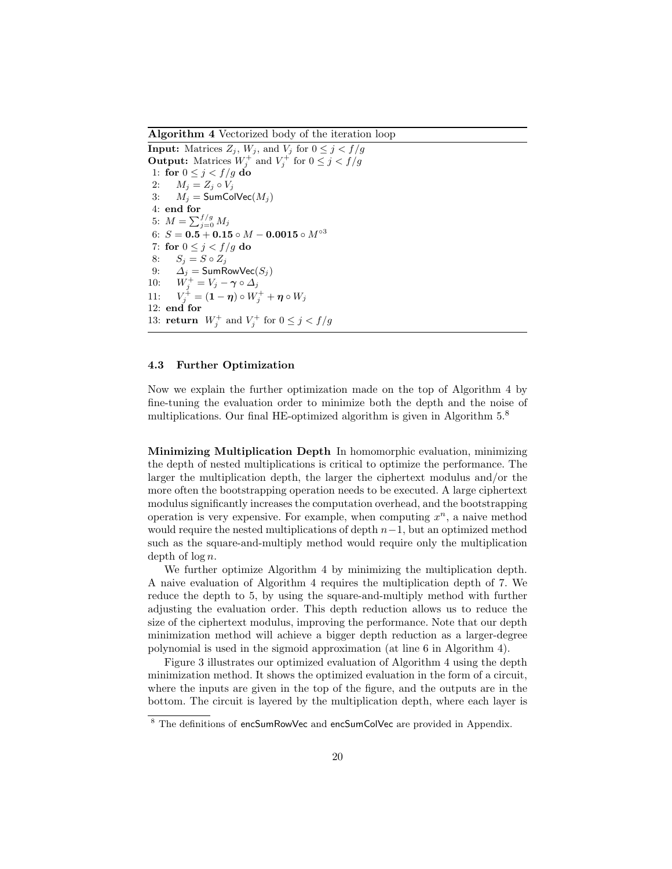Algorithm 4 Vectorized body of the iteration loop

**Input:** Matrices  $Z_j$ ,  $W_j$ , and  $V_j$  for  $0 \leq j \leq f/g$ **Output:** Matrices  $W_j^+$  and  $V_j^+$  for  $0 \le j < f/g$ 1: for  $0 \leq j < f/g$  do 2:  $M_j = Z_j \circ V_j$ 3:  $M_i = \textsf{SumColVec}(M_i)$ 4: end for 5:  $M = \sum_{j=0}^{f/g} M_j$ 6:  $S = 0.5 + 0.15 \circ M - 0.0015 \circ M^{\circ 3}$ 7: for  $0 \leq j < f/g$  do 8:  $S_j = S \circ Z_j$ 9:  $\Delta_j = \textsf{SumRowVec}(S_j)$ 10:  $W_j^+ = V_j - \gamma \circ \Delta_j$ <br>11:  $V_j^+ = (\mathbf{1} - \boldsymbol{\eta}) \circ W_j^+ + \boldsymbol{\eta} \circ W_j$  $11:$ 12: end for 13: **return**  $W_j^+$  and  $V_j^+$  for  $0 \le j < f/g$ 

## 4.3 Further Optimization

Now we explain the further optimization made on the top of Algorithm 4 by fine-tuning the evaluation order to minimize both the depth and the noise of multiplications. Our final HE-optimized algorithm is given in Algorithm  $5^8$ .

Minimizing Multiplication Depth In homomorphic evaluation, minimizing the depth of nested multiplications is critical to optimize the performance. The larger the multiplication depth, the larger the ciphertext modulus and/or the more often the bootstrapping operation needs to be executed. A large ciphertext modulus significantly increases the computation overhead, and the bootstrapping operation is very expensive. For example, when computing  $x^n$ , a naive method would require the nested multiplications of depth  $n-1$ , but an optimized method such as the square-and-multiply method would require only the multiplication depth of  $\log n$ .

We further optimize Algorithm 4 by minimizing the multiplication depth. A naive evaluation of Algorithm 4 requires the multiplication depth of 7. We reduce the depth to 5, by using the square-and-multiply method with further adjusting the evaluation order. This depth reduction allows us to reduce the size of the ciphertext modulus, improving the performance. Note that our depth minimization method will achieve a bigger depth reduction as a larger-degree polynomial is used in the sigmoid approximation (at line 6 in Algorithm 4).

Figure 3 illustrates our optimized evaluation of Algorithm 4 using the depth minimization method. It shows the optimized evaluation in the form of a circuit, where the inputs are given in the top of the figure, and the outputs are in the bottom. The circuit is layered by the multiplication depth, where each layer is

<sup>8</sup> The definitions of encSumRowVec and encSumColVec are provided in Appendix.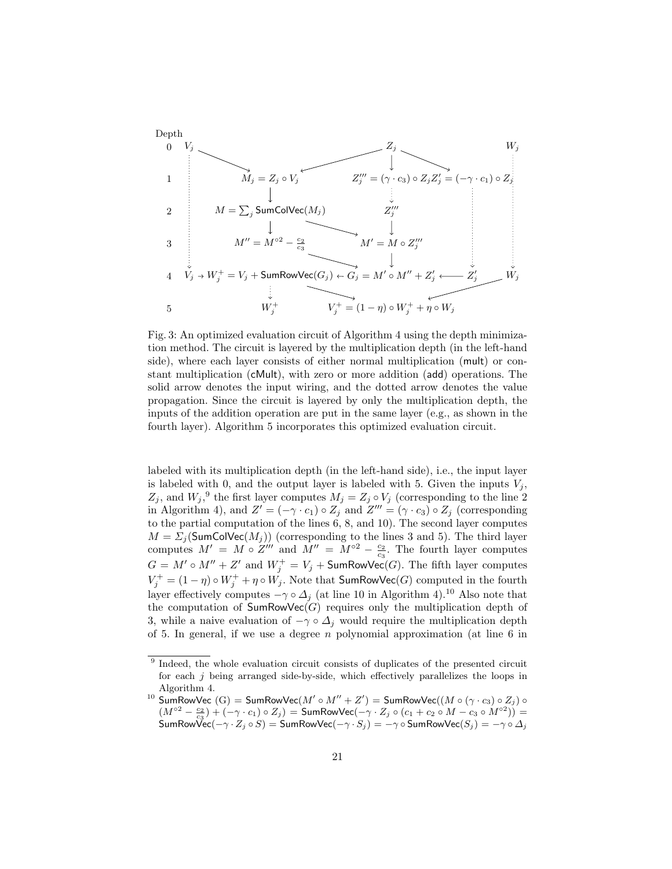

Fig. 3: An optimized evaluation circuit of Algorithm 4 using the depth minimization method. The circuit is layered by the multiplication depth (in the left-hand side), where each layer consists of either normal multiplication (mult) or constant multiplication (cMult), with zero or more addition (add) operations. The solid arrow denotes the input wiring, and the dotted arrow denotes the value propagation. Since the circuit is layered by only the multiplication depth, the inputs of the addition operation are put in the same layer (e.g., as shown in the fourth layer). Algorithm 5 incorporates this optimized evaluation circuit.

labeled with its multiplication depth (in the left-hand side), i.e., the input layer is labeled with 0, and the output layer is labeled with 5. Given the inputs  $V_i$ ,  $Z_j$ , and  $W_j$ ,<sup>9</sup> the first layer computes  $M_j = Z_j \circ V_j$  (corresponding to the line 2) in Algorithm 4), and  $Z' = (-\gamma \cdot c_1) \circ Z_j$  and  $Z''' = (\gamma \cdot c_3) \circ Z_j$  (corresponding to the partial computation of the lines 6, 8, and 10). The second layer computes  $M = \sum_j (\textsf{SumColVec}(M_j))$  (corresponding to the lines 3 and 5). The third layer computes  $M' = M \circ Z'''$  and  $M'' = M^{\circ 2} - \frac{c_2}{c_3}$ . The fourth layer computes  $G = M' \circ M'' + Z'$  and  $W_j^+ = V_j + \mathsf{SumRowVec}(G)$ . The fifth layer computes  $V_j^+ = (1 - \eta) \circ W_j^+ + \eta \circ W_j$ . Note that SumRowVec(G) computed in the fourth layer effectively computes  $-\gamma \circ \Delta_i$  (at line 10 in Algorithm 4).<sup>10</sup> Also note that the computation of  $SumRowVec(G)$  requires only the multiplication depth of 3, while a naive evaluation of  $-\gamma \circ \Delta_j$  would require the multiplication depth of 5. In general, if we use a degree  $n$  polynomial approximation (at line 6 in

<sup>&</sup>lt;sup>9</sup> Indeed, the whole evaluation circuit consists of duplicates of the presented circuit for each  $j$  being arranged side-by-side, which effectively parallelizes the loops in Algorithm 4.

 $^{10}$  SumRowVec  $\mathrm{(G)} = \mathsf{SumRowVec}(M'\circ M'' + Z') = \mathsf{SumRowVec}((M\circ (\gamma\cdot c_3) \circ Z_j)\circ M'')$  $(M^{\circ 2}-\frac{c_2}{c_3})+(-\gamma\cdot c_1)\circ Z_j)=$  SumRowVec $(-\gamma\cdot Z_j\circ (c_1+c_2\circ M-c_3\circ M^{\circ 2}))=$ SumRowVec $(-\gamma\cdot Z_j\circ S)=\mathsf{SumRowVec}(-\gamma\cdot S_j)=-\gamma\circ\mathsf{SumRowVec}(S_j)=-\gamma\circ\Delta_j$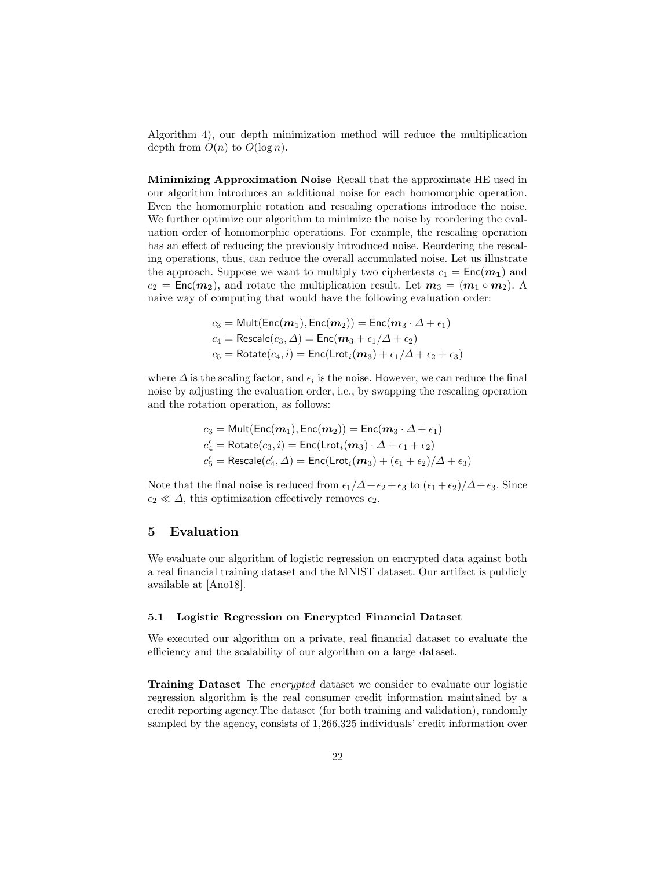Algorithm 4), our depth minimization method will reduce the multiplication depth from  $O(n)$  to  $O(\log n)$ .

Minimizing Approximation Noise Recall that the approximate HE used in our algorithm introduces an additional noise for each homomorphic operation. Even the homomorphic rotation and rescaling operations introduce the noise. We further optimize our algorithm to minimize the noise by reordering the evaluation order of homomorphic operations. For example, the rescaling operation has an effect of reducing the previously introduced noise. Reordering the rescaling operations, thus, can reduce the overall accumulated noise. Let us illustrate the approach. Suppose we want to multiply two ciphertexts  $c_1 = \text{Enc}(m_1)$  and  $c_2 = \text{Enc}(m_2)$ , and rotate the multiplication result. Let  $m_3 = (m_1 \circ m_2)$ . A naive way of computing that would have the following evaluation order:

$$
c_3 = \text{Mult}(\text{Enc}(m_1), \text{Enc}(m_2)) = \text{Enc}(m_3 \cdot \Delta + \epsilon_1)
$$
  
\n
$$
c_4 = \text{Rescale}(c_3, \Delta) = \text{Enc}(m_3 + \epsilon_1/\Delta + \epsilon_2)
$$
  
\n
$$
c_5 = \text{Rotate}(c_4, i) = \text{Enc}(\text{Lrot}_i(m_3) + \epsilon_1/\Delta + \epsilon_2 + \epsilon_3)
$$

where  $\Delta$  is the scaling factor, and  $\epsilon_i$  is the noise. However, we can reduce the final noise by adjusting the evaluation order, i.e., by swapping the rescaling operation and the rotation operation, as follows:

$$
\begin{aligned} c_3 &= \mathsf{Mult}(\mathsf{Enc}(m_1), \mathsf{Enc}(m_2)) = \mathsf{Enc}(m_3 \cdot \Delta + \epsilon_1) \\ c_4' &= \mathsf{Rotate}(c_3, i) = \mathsf{Enc}(\mathsf{Lrot}_i(m_3) \cdot \Delta + \epsilon_1 + \epsilon_2) \\ c_5' &= \mathsf{Rescale}(c_4', \Delta) = \mathsf{Enc}(\mathsf{Lrot}_i(m_3) + (\epsilon_1 + \epsilon_2)/\Delta + \epsilon_3) \end{aligned}
$$

Note that the final noise is reduced from  $\epsilon_1/\Delta + \epsilon_2 + \epsilon_3$  to  $(\epsilon_1 + \epsilon_2)/\Delta + \epsilon_3$ . Since  $\epsilon_2 \ll \Delta$ , this optimization effectively removes  $\epsilon_2$ .

# 5 Evaluation

We evaluate our algorithm of logistic regression on encrypted data against both a real financial training dataset and the MNIST dataset. Our artifact is publicly available at [Ano18].

#### 5.1 Logistic Regression on Encrypted Financial Dataset

We executed our algorithm on a private, real financial dataset to evaluate the efficiency and the scalability of our algorithm on a large dataset.

Training Dataset The encrypted dataset we consider to evaluate our logistic regression algorithm is the real consumer credit information maintained by a credit reporting agency.The dataset (for both training and validation), randomly sampled by the agency, consists of  $1,266,325$  individuals' credit information over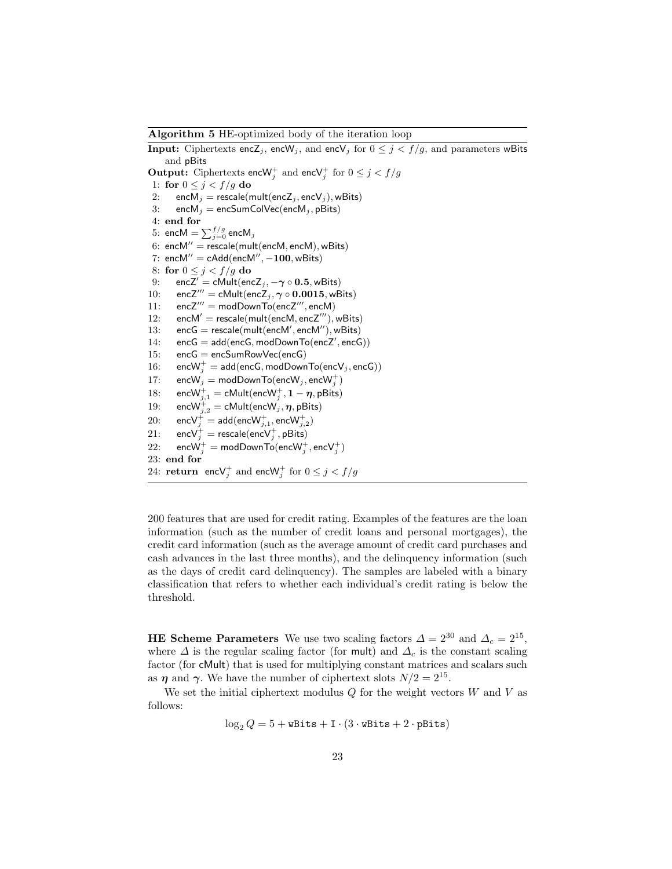Algorithm 5 HE-optimized body of the iteration loop

**Input:** Ciphertexts enc $\mathsf{Z}_j$ , enc $\mathsf{W}_j$ , and enc $\mathsf{V}_j$  for  $0 \leq j < f/g$ , and parameters wBits and pBits **Output:** Ciphertexts encW<sub>j</sub> and encV<sub>j</sub> for  $0 \leq j < f/g$ 1: for  $0 \leq j < f/g$  do 2: enc $M_j$  = rescale(mult(encZ<sub>j</sub>, encV<sub>j</sub>), wBits) 3: enc $M_j$  = encSumColVec(enc $M_j$ , pBits) 4: end for  $5: \text{ encM} = \sum_{j=0}^{f/g} \text{encM}_j$ 6: encM" = rescale(mult(encM, encM), wBits) 7: encM" = cAdd(encM",  $-100$ , wBits) 8: for  $0 \leq j < f/g$  do 9: encZ' = cMult(encZ<sub>j</sub>,  $-\gamma \circ 0.5$ , wBits) 10: encZ<sup> $m$ </sup> = cMult(encZ<sub>j</sub>,  $\gamma \circ 0.0015$ , wBits) 11:  $encZ''' = modDownTo(encZ''', encM)$ 12: encM' = rescale(mult(encM, encZ'''), wBits) 13:  $encG = rescale(mult(encM', encM''), wBits)$ 14:  $encG = add(encG, modDownTo(encZ', encG))$ 15: encG = encSumRowVec(encG) 16: enc ${\sf W}_j^+ = {\sf add}({\sf encG}, {\sf modDownTo}({\sf encV}_j, {\sf encG}))$ 17:  $\text{encW}_j = \text{modDownTo}(\text{encW}_j, \text{encW}_j^+)$ 18: enc $\mathsf{W}^+_{j,1} = \mathsf{cMult}(\mathsf{encW}^+_j, \mathbf{1}-\boldsymbol{\eta}, \mathsf{pBits})$ 19: enc $\mathsf{W}_{j,2}^+=\mathsf{cMult}(\mathsf{encW}_j, \bm{\eta}, \mathsf{pBits})$  $20\mathrm{:}\qquad \mathsf{enc}\mathsf{V}_{j}^{+}=\mathsf{add}(\mathsf{enc}\mathsf{W}_{j,1}^{+},\mathsf{enc}\mathsf{W}_{j,2}^{+})$ 21:  $\text{encV}_j^+ = \text{rescale}(\text{encV}_j^+, \text{pbits})$ 22:  $\qquad \mathsf{encW}^+_j = \mathsf{modDownTo}(\mathsf{encW}^+_j,\mathsf{encV}^+_j)$ 23: end for 24:  $\mathbf{return} \quad \mathsf{encV}^+_j \text{ and } \mathsf{encW}^+_j \text{ for } 0 \leq j < f/g$ 

200 features that are used for credit rating. Examples of the features are the loan information (such as the number of credit loans and personal mortgages), the credit card information (such as the average amount of credit card purchases and cash advances in the last three months), and the delinquency information (such as the days of credit card delinquency). The samples are labeled with a binary classification that refers to whether each individual's credit rating is below the threshold.

**HE Scheme Parameters** We use two scaling factors  $\Delta = 2^{30}$  and  $\Delta_c = 2^{15}$ , where  $\Delta$  is the regular scaling factor (for mult) and  $\Delta_c$  is the constant scaling factor (for cMult) that is used for multiplying constant matrices and scalars such as  $\eta$  and  $\gamma$ . We have the number of ciphertext slots  $N/2 = 2^{15}$ .

We set the initial ciphertext modulus  $Q$  for the weight vectors  $W$  and  $V$  as follows:

$$
\log_2 Q = 5 + \texttt{wBits} + \texttt{I} \cdot (3 \cdot \texttt{wBits} + 2 \cdot \texttt{pBits})
$$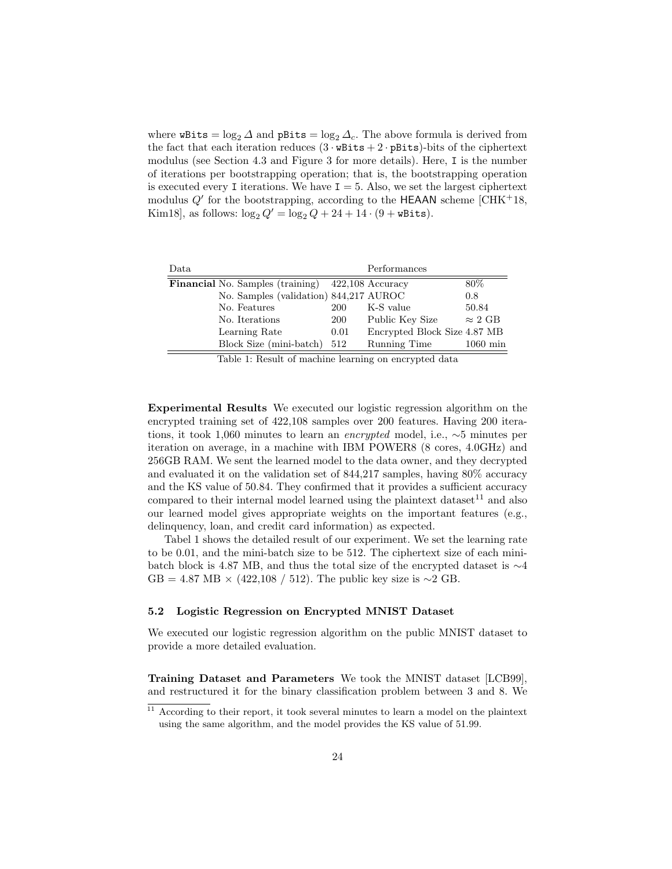where  $\texttt{wbits} = \log_2 \Delta$  and  $\texttt{pbits} = \log_2 \Delta_c$ . The above formula is derived from the fact that each iteration reduces  $(3 \cdot \text{wbits} + 2 \cdot \text{pbits})$ -bits of the ciphertext modulus (see Section 4.3 and Figure 3 for more details). Here, I is the number of iterations per bootstrapping operation; that is, the bootstrapping operation is executed every I iterations. We have  $I = 5$ . Also, we set the largest ciphertext modulus  $Q'$  for the bootstrapping, according to the HEAAN scheme [CHK+18, Kim18], as follows:  $\log_2 Q' = \log_2 Q + 24 + 14 \cdot (9 + \text{wbits}).$ 

| Data                                                     |          |      | Performances                 |                        |
|----------------------------------------------------------|----------|------|------------------------------|------------------------|
| <b>Financial</b> No. Samples (training) 422,108 Accuracy |          |      |                              | 80\%                   |
| No. Samples (validation) 844,217 AUROC                   |          |      |                              | 0.8                    |
| No. Features                                             |          | 200  | K-S value                    | 50.84                  |
| No. Iterations                                           |          | 200  | Public Key Size              | $\approx 2 \text{ GB}$ |
| Learning Rate                                            |          | 0.01 | Encrypted Block Size 4.87 MB |                        |
| Block Size (mini-batch)                                  |          | 512  | Running Time                 | $1060 \,\mathrm{min}$  |
| $\mathbf{m}$ is $\mathbf{m}$ if $\mathbf{c}$             | $\cdots$ | п.   | .                            |                        |

Table 1: Result of machine learning on encrypted data

Experimental Results We executed our logistic regression algorithm on the encrypted training set of 422,108 samples over 200 features. Having 200 iterations, it took 1,060 minutes to learn an encrypted model, i.e., ∼5 minutes per iteration on average, in a machine with IBM POWER8 (8 cores, 4.0GHz) and 256GB RAM. We sent the learned model to the data owner, and they decrypted and evaluated it on the validation set of 844,217 samples, having 80% accuracy and the KS value of 50.84. They confirmed that it provides a sufficient accuracy compared to their internal model learned using the plaintext dataset  $11$  and also our learned model gives appropriate weights on the important features (e.g., delinquency, loan, and credit card information) as expected.

Tabel 1 shows the detailed result of our experiment. We set the learning rate to be 0.01, and the mini-batch size to be 512. The ciphertext size of each minibatch block is 4.87 MB, and thus the total size of the encrypted dataset is ∼4  $GB = 4.87 \text{ MB} \times (422,108 / 512)$ . The public key size is ∼2 GB.

### 5.2 Logistic Regression on Encrypted MNIST Dataset

We executed our logistic regression algorithm on the public MNIST dataset to provide a more detailed evaluation.

Training Dataset and Parameters We took the MNIST dataset [LCB99], and restructured it for the binary classification problem between 3 and 8. We

 $11$  According to their report, it took several minutes to learn a model on the plaintext using the same algorithm, and the model provides the KS value of 51.99.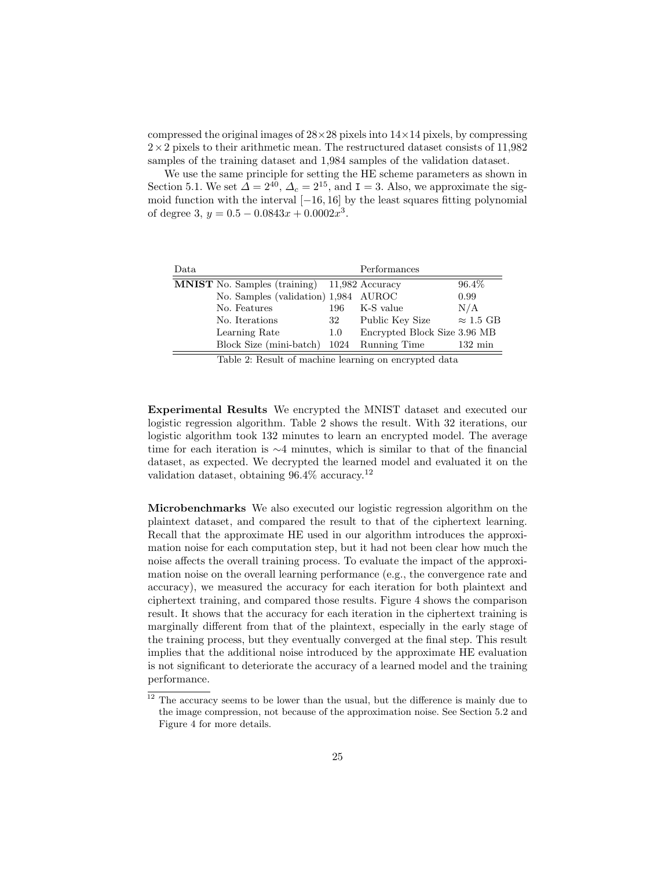compressed the original images of  $28\times28$  pixels into  $14\times14$  pixels, by compressing  $2\times2$  pixels to their arithmetic mean. The restructured dataset consists of 11,982 samples of the training dataset and 1,984 samples of the validation dataset.

We use the same principle for setting the HE scheme parameters as shown in Section 5.1. We set  $\Delta = 2^{40}$ ,  $\Delta_c = 2^{15}$ , and  $I = 3$ . Also, we approximate the sigmoid function with the interval  $[-16, 16]$  by the least squares fitting polynomial of degree 3,  $y = 0.5 - 0.0843x + 0.0002x^3$ .

| Data                                                |     | Performances                 |                   |
|-----------------------------------------------------|-----|------------------------------|-------------------|
| <b>MNIST</b> No. Samples (training) 11,982 Accuracy |     |                              | 96.4\%            |
| No. Samples (validation) 1,984 AUROC                |     |                              | 0.99              |
| No. Features                                        | 196 | K-S value                    | N/A               |
| No. Iterations                                      | 32  | Public Key Size              | $\approx$ 1.5 GB  |
| Learning Rate                                       | 1.0 | Encrypted Block Size 3.96 MB |                   |
| Block Size (mini-batch)                             |     | 1024 Running Time            | $132 \text{ min}$ |
|                                                     |     |                              |                   |

Table 2: Result of machine learning on encrypted data

Experimental Results We encrypted the MNIST dataset and executed our logistic regression algorithm. Table 2 shows the result. With 32 iterations, our logistic algorithm took 132 minutes to learn an encrypted model. The average time for each iteration is ∼4 minutes, which is similar to that of the financial dataset, as expected. We decrypted the learned model and evaluated it on the validation dataset, obtaining 96.4% accuracy.<sup>12</sup>

Microbenchmarks We also executed our logistic regression algorithm on the plaintext dataset, and compared the result to that of the ciphertext learning. Recall that the approximate HE used in our algorithm introduces the approximation noise for each computation step, but it had not been clear how much the noise affects the overall training process. To evaluate the impact of the approximation noise on the overall learning performance (e.g., the convergence rate and accuracy), we measured the accuracy for each iteration for both plaintext and ciphertext training, and compared those results. Figure 4 shows the comparison result. It shows that the accuracy for each iteration in the ciphertext training is marginally different from that of the plaintext, especially in the early stage of the training process, but they eventually converged at the final step. This result implies that the additional noise introduced by the approximate HE evaluation is not significant to deteriorate the accuracy of a learned model and the training performance.

 $^{12}$  The accuracy seems to be lower than the usual, but the difference is mainly due to the image compression, not because of the approximation noise. See Section 5.2 and Figure 4 for more details.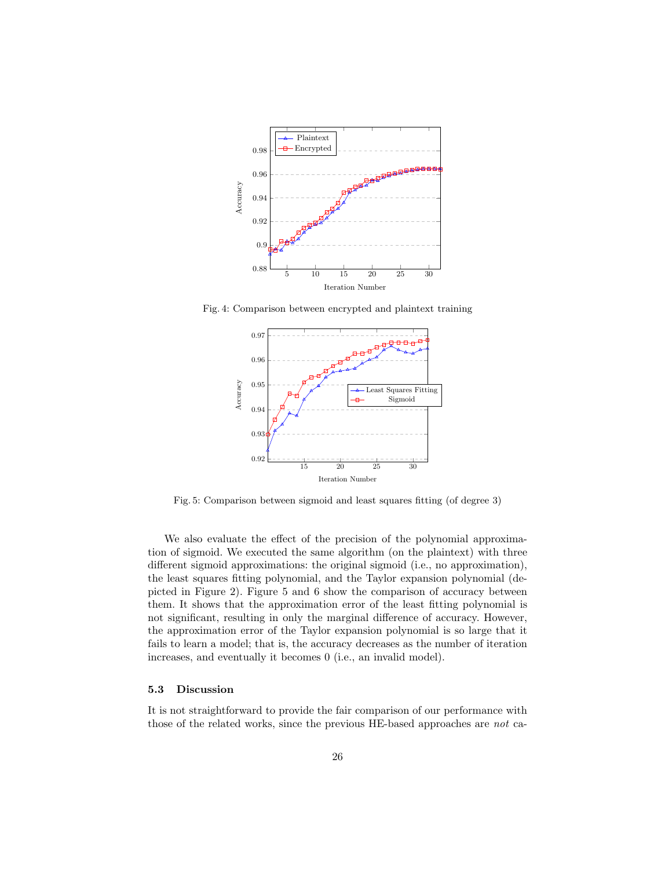

Fig. 4: Comparison between encrypted and plaintext training



Fig. 5: Comparison between sigmoid and least squares fitting (of degree 3)

We also evaluate the effect of the precision of the polynomial approximation of sigmoid. We executed the same algorithm (on the plaintext) with three different sigmoid approximations: the original sigmoid (i.e., no approximation), the least squares fitting polynomial, and the Taylor expansion polynomial (depicted in Figure 2). Figure 5 and 6 show the comparison of accuracy between them. It shows that the approximation error of the least fitting polynomial is not significant, resulting in only the marginal difference of accuracy. However, the approximation error of the Taylor expansion polynomial is so large that it fails to learn a model; that is, the accuracy decreases as the number of iteration increases, and eventually it becomes 0 (i.e., an invalid model).

#### 5.3 Discussion

It is not straightforward to provide the fair comparison of our performance with those of the related works, since the previous HE-based approaches are not ca-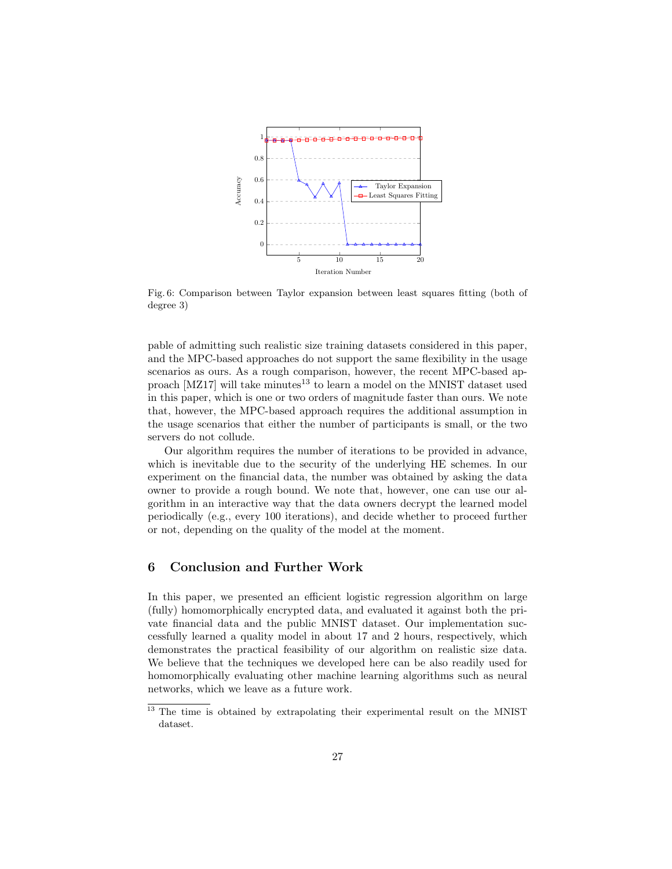

Fig. 6: Comparison between Taylor expansion between least squares fitting (both of degree 3)

pable of admitting such realistic size training datasets considered in this paper, and the MPC-based approaches do not support the same flexibility in the usage scenarios as ours. As a rough comparison, however, the recent MPC-based approach  $[MZ17]$  will take minutes<sup>13</sup> to learn a model on the MNIST dataset used in this paper, which is one or two orders of magnitude faster than ours. We note that, however, the MPC-based approach requires the additional assumption in the usage scenarios that either the number of participants is small, or the two servers do not collude.

Our algorithm requires the number of iterations to be provided in advance, which is inevitable due to the security of the underlying HE schemes. In our experiment on the financial data, the number was obtained by asking the data owner to provide a rough bound. We note that, however, one can use our algorithm in an interactive way that the data owners decrypt the learned model periodically (e.g., every 100 iterations), and decide whether to proceed further or not, depending on the quality of the model at the moment.

# 6 Conclusion and Further Work

In this paper, we presented an efficient logistic regression algorithm on large (fully) homomorphically encrypted data, and evaluated it against both the private financial data and the public MNIST dataset. Our implementation successfully learned a quality model in about 17 and 2 hours, respectively, which demonstrates the practical feasibility of our algorithm on realistic size data. We believe that the techniques we developed here can be also readily used for homomorphically evaluating other machine learning algorithms such as neural networks, which we leave as a future work.

<sup>&</sup>lt;sup>13</sup> The time is obtained by extrapolating their experimental result on the MNIST dataset.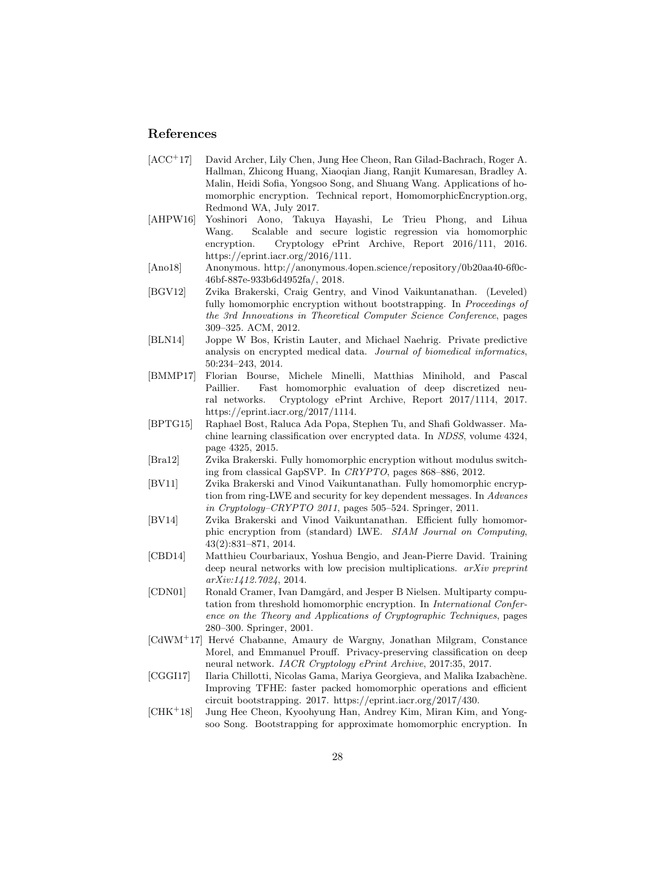# References

- [ACC<sup>+</sup>17] David Archer, Lily Chen, Jung Hee Cheon, Ran Gilad-Bachrach, Roger A. Hallman, Zhicong Huang, Xiaoqian Jiang, Ranjit Kumaresan, Bradley A. Malin, Heidi Sofia, Yongsoo Song, and Shuang Wang. Applications of homomorphic encryption. Technical report, HomomorphicEncryption.org, Redmond WA, July 2017.
- [AHPW16] Yoshinori Aono, Takuya Hayashi, Le Trieu Phong, and Lihua Wang. Scalable and secure logistic regression via homomorphic encryption. Cryptology ePrint Archive, Report 2016/111, 2016. https://eprint.iacr.org/2016/111.
- [Ano18] Anonymous. http://anonymous.4open.science/repository/0b20aa40-6f0c-46bf-887e-933b6d4952fa/, 2018.
- [BGV12] Zvika Brakerski, Craig Gentry, and Vinod Vaikuntanathan. (Leveled) fully homomorphic encryption without bootstrapping. In *Proceedings of* the 3rd Innovations in Theoretical Computer Science Conference, pages 309–325. ACM, 2012.
- [BLN14] Joppe W Bos, Kristin Lauter, and Michael Naehrig. Private predictive analysis on encrypted medical data. Journal of biomedical informatics, 50:234–243, 2014.
- [BMMP17] Florian Bourse, Michele Minelli, Matthias Minihold, and Pascal Paillier. Fast homomorphic evaluation of deep discretized neural networks. Cryptology ePrint Archive, Report 2017/1114, 2017. https://eprint.iacr.org/2017/1114.
- [BPTG15] Raphael Bost, Raluca Ada Popa, Stephen Tu, and Shafi Goldwasser. Machine learning classification over encrypted data. In NDSS, volume 4324, page 4325, 2015.
- [Bra12] Zvika Brakerski. Fully homomorphic encryption without modulus switching from classical GapSVP. In CRYPTO, pages 868–886, 2012.
- [BV11] Zvika Brakerski and Vinod Vaikuntanathan. Fully homomorphic encryption from ring-LWE and security for key dependent messages. In Advances in Cryptology–CRYPTO 2011, pages 505–524. Springer, 2011.
- [BV14] Zvika Brakerski and Vinod Vaikuntanathan. Efficient fully homomorphic encryption from (standard) LWE. SIAM Journal on Computing, 43(2):831–871, 2014.
- [CBD14] Matthieu Courbariaux, Yoshua Bengio, and Jean-Pierre David. Training deep neural networks with low precision multiplications. arXiv preprint arXiv:1412.7024, 2014.
- [CDN01] Ronald Cramer, Ivan Damgård, and Jesper B Nielsen. Multiparty computation from threshold homomorphic encryption. In *International Confer*ence on the Theory and Applications of Cryptographic Techniques, pages 280–300. Springer, 2001.
- $\text{[CdWM}^+17\text{]}$  Hervé Chabanne, Amaury de Wargny, Jonathan Milgram, Constance Morel, and Emmanuel Prouff. Privacy-preserving classification on deep neural network. IACR Cryptology ePrint Archive, 2017:35, 2017.
- [CGGI17] Ilaria Chillotti, Nicolas Gama, Mariya Georgieva, and Malika Izabachène. Improving TFHE: faster packed homomorphic operations and efficient circuit bootstrapping. 2017. https://eprint.iacr.org/2017/430.
- [CHK<sup>+</sup>18] Jung Hee Cheon, Kyoohyung Han, Andrey Kim, Miran Kim, and Yongsoo Song. Bootstrapping for approximate homomorphic encryption. In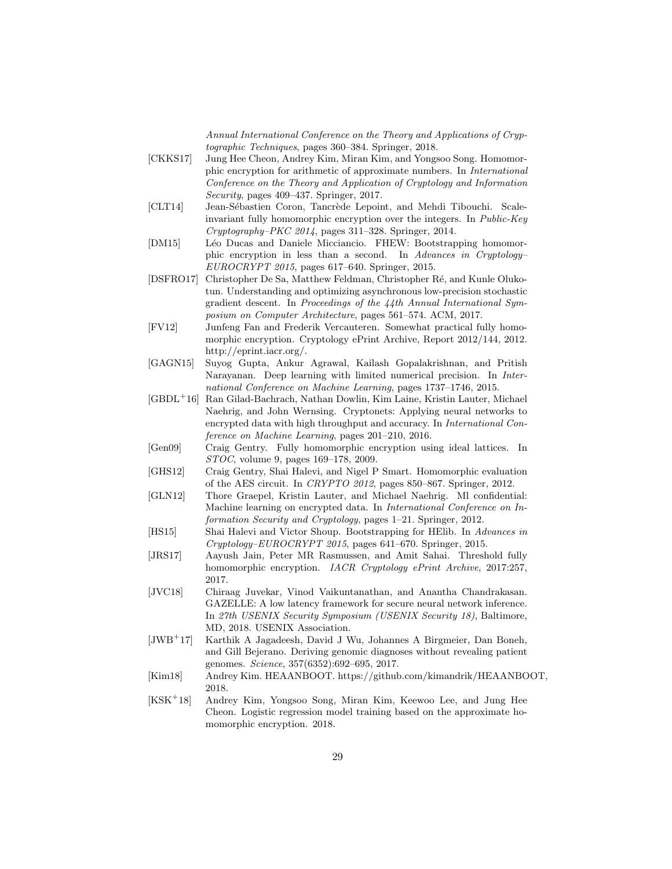Annual International Conference on the Theory and Applications of Cryptographic Techniques, pages 360–384. Springer, 2018.

- [CKKS17] Jung Hee Cheon, Andrey Kim, Miran Kim, and Yongsoo Song. Homomorphic encryption for arithmetic of approximate numbers. In International Conference on the Theory and Application of Cryptology and Information Security, pages 409–437. Springer, 2017.
- [CLT14] Jean-Sébastien Coron, Tancrède Lepoint, and Mehdi Tibouchi. Scaleinvariant fully homomorphic encryption over the integers. In Public-Key Cryptography–PKC 2014, pages 311–328. Springer, 2014.
- [DM15] Léo Ducas and Daniele Micciancio. FHEW: Bootstrapping homomorphic encryption in less than a second. In Advances in Cryptology– EUROCRYPT 2015, pages 617–640. Springer, 2015.
- [DSFRO17] Christopher De Sa, Matthew Feldman, Christopher Ré, and Kunle Olukotun. Understanding and optimizing asynchronous low-precision stochastic gradient descent. In Proceedings of the 44th Annual International Symposium on Computer Architecture, pages 561–574. ACM, 2017.
- [FV12] Junfeng Fan and Frederik Vercauteren. Somewhat practical fully homomorphic encryption. Cryptology ePrint Archive, Report 2012/144, 2012. http://eprint.iacr.org/.
- [GAGN15] Suyog Gupta, Ankur Agrawal, Kailash Gopalakrishnan, and Pritish Narayanan. Deep learning with limited numerical precision. In International Conference on Machine Learning, pages 1737–1746, 2015.
- [GBDL<sup>+</sup>16] Ran Gilad-Bachrach, Nathan Dowlin, Kim Laine, Kristin Lauter, Michael Naehrig, and John Wernsing. Cryptonets: Applying neural networks to encrypted data with high throughput and accuracy. In *International Con*ference on Machine Learning, pages 201–210, 2016.
- [Gen09] Craig Gentry. Fully homomorphic encryption using ideal lattices. In STOC, volume 9, pages 169–178, 2009.
- [GHS12] Craig Gentry, Shai Halevi, and Nigel P Smart. Homomorphic evaluation of the AES circuit. In CRYPTO 2012, pages 850–867. Springer, 2012.
- [GLN12] Thore Graepel, Kristin Lauter, and Michael Naehrig. Ml confidential: Machine learning on encrypted data. In International Conference on Information Security and Cryptology, pages 1–21. Springer, 2012.
- [HS15] Shai Halevi and Victor Shoup. Bootstrapping for HElib. In Advances in Cryptology–EUROCRYPT 2015, pages 641–670. Springer, 2015.
- [JRS17] Aayush Jain, Peter MR Rasmussen, and Amit Sahai. Threshold fully homomorphic encryption. IACR Cryptology ePrint Archive, 2017:257, 2017.
- [JVC18] Chiraag Juvekar, Vinod Vaikuntanathan, and Anantha Chandrakasan. GAZELLE: A low latency framework for secure neural network inference. In 27th USENIX Security Symposium (USENIX Security 18), Baltimore, MD, 2018. USENIX Association.
- [JWB<sup>+</sup>17] Karthik A Jagadeesh, David J Wu, Johannes A Birgmeier, Dan Boneh, and Gill Bejerano. Deriving genomic diagnoses without revealing patient genomes. Science, 357(6352):692–695, 2017.
- [Kim18] Andrey Kim. HEAANBOOT. https://github.com/kimandrik/HEAANBOOT, 2018.
- [KSK<sup>+</sup>18] Andrey Kim, Yongsoo Song, Miran Kim, Keewoo Lee, and Jung Hee Cheon. Logistic regression model training based on the approximate homomorphic encryption. 2018.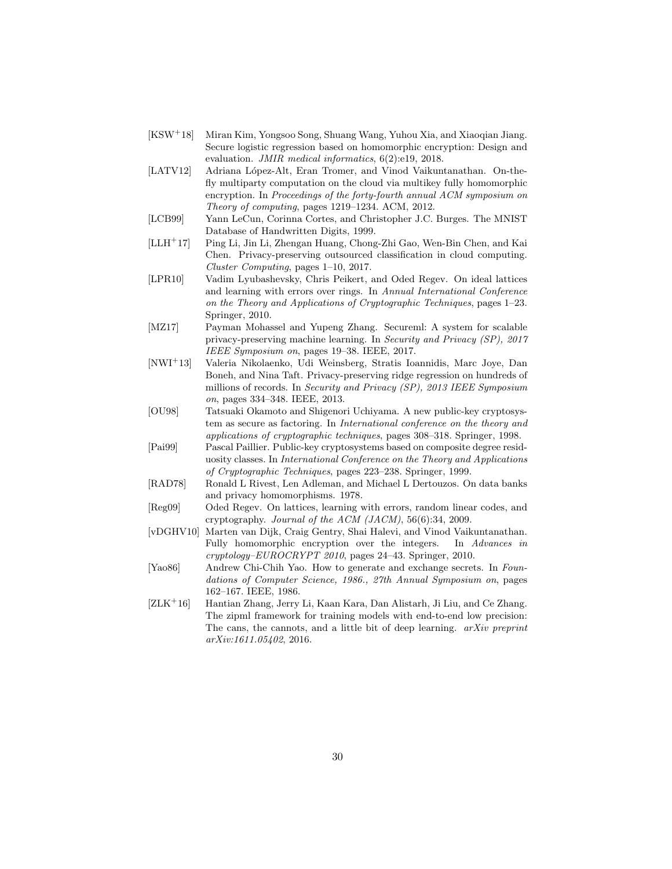- [KSW<sup>+</sup>18] Miran Kim, Yongsoo Song, Shuang Wang, Yuhou Xia, and Xiaoqian Jiang. Secure logistic regression based on homomorphic encryption: Design and evaluation. JMIR medical informatics,  $6(2):e19$ , 2018.
- [LATV12] Adriana López-Alt, Eran Tromer, and Vinod Vaikuntanathan. On-thefly multiparty computation on the cloud via multikey fully homomorphic encryption. In Proceedings of the forty-fourth annual ACM symposium on Theory of computing, pages 1219–1234. ACM, 2012.
- [LCB99] Yann LeCun, Corinna Cortes, and Christopher J.C. Burges. The MNIST Database of Handwritten Digits, 1999.
- [LLH<sup>+</sup>17] Ping Li, Jin Li, Zhengan Huang, Chong-Zhi Gao, Wen-Bin Chen, and Kai Chen. Privacy-preserving outsourced classification in cloud computing. Cluster Computing, pages 1–10, 2017.
- [LPR10] Vadim Lyubashevsky, Chris Peikert, and Oded Regev. On ideal lattices and learning with errors over rings. In Annual International Conference on the Theory and Applications of Cryptographic Techniques, pages 1–23. Springer, 2010.
- [MZ17] Payman Mohassel and Yupeng Zhang. Secureml: A system for scalable privacy-preserving machine learning. In Security and Privacy (SP), 2017 IEEE Symposium on, pages 19–38. IEEE, 2017.
- [NWI<sup>+</sup>13] Valeria Nikolaenko, Udi Weinsberg, Stratis Ioannidis, Marc Joye, Dan Boneh, and Nina Taft. Privacy-preserving ridge regression on hundreds of millions of records. In Security and Privacy (SP), 2013 IEEE Symposium on, pages 334–348. IEEE, 2013.
- [OU98] Tatsuaki Okamoto and Shigenori Uchiyama. A new public-key cryptosystem as secure as factoring. In International conference on the theory and applications of cryptographic techniques, pages 308–318. Springer, 1998.
- [Pai99] Pascal Paillier. Public-key cryptosystems based on composite degree residuosity classes. In International Conference on the Theory and Applications of Cryptographic Techniques, pages 223–238. Springer, 1999.
- [RAD78] Ronald L Rivest, Len Adleman, and Michael L Dertouzos. On data banks and privacy homomorphisms. 1978.
- [Reg09] Oded Regev. On lattices, learning with errors, random linear codes, and cryptography. Journal of the ACM (JACM), 56(6):34, 2009.
- [vDGHV10] Marten van Dijk, Craig Gentry, Shai Halevi, and Vinod Vaikuntanathan. Fully homomorphic encryption over the integers. In Advances in cryptology–EUROCRYPT 2010, pages 24–43. Springer, 2010.
- [Yao86] Andrew Chi-Chih Yao. How to generate and exchange secrets. In Foundations of Computer Science, 1986., 27th Annual Symposium on, pages 162–167. IEEE, 1986.
- [ZLK<sup>+</sup>16] Hantian Zhang, Jerry Li, Kaan Kara, Dan Alistarh, Ji Liu, and Ce Zhang. The zipml framework for training models with end-to-end low precision: The cans, the cannots, and a little bit of deep learning.  $arXiv$  preprint arXiv:1611.05402, 2016.